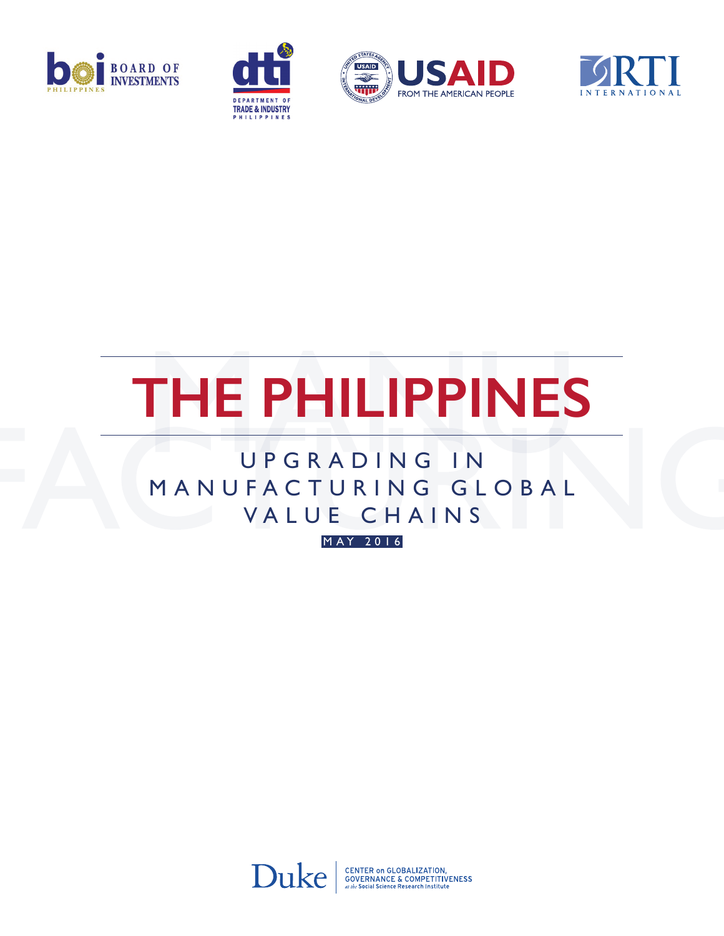







# **The Philippines**

### U P G R A D I N G I N MANUFACTURING GLOBAL VALUE CHAINS

m ay 2016



CENTER ON GLOBALIZATION,<br>GOVERNANCE & COMPETITIVENESS<br>at the Social Science Research Institute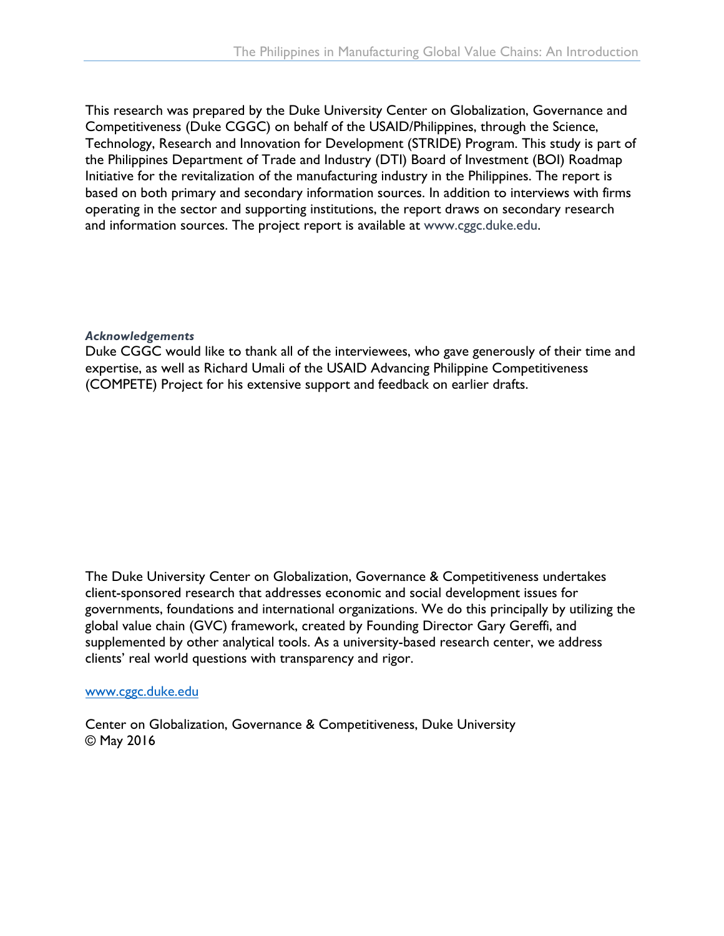This research was prepared by the Duke University Center on Globalization, Governance and Competitiveness (Duke CGGC) on behalf of the USAID/Philippines, through the Science, Technology, Research and Innovation for Development (STRIDE) Program. This study is part of the Philippines Department of Trade and Industry (DTI) Board of Investment (BOI) Roadmap Initiative for the revitalization of the manufacturing industry in the Philippines. The report is based on both primary and secondary information sources. In addition to interviews with firms operating in the sector and supporting institutions, the report draws on secondary research and information sources. The project report is available at [www.cggc.duke.edu.](http://www.cggc.duke.edu)

#### *Acknowledgements*

Duke CGGC would like to thank all of the interviewees, who gave generously of their time and expertise, as well as Richard Umali of the USAID Advancing Philippine Competitiveness (COMPETE) Project for his extensive support and feedback on earlier drafts.

The Duke University Center on Globalization, Governance & Competitiveness undertakes client-sponsored research that addresses economic and social development issues for governments, foundations and international organizations. We do this principally by utilizing the global value chain (GVC) framework, created by Founding Director Gary Gereffi, and supplemented by other analytical tools. As a university-based research center, we address clients' real world questions with transparency and rigor.

#### [www.cggc.duke.edu](http://www.cggc.duke.edu)

Center on Globalization, Governance & Competitiveness, Duke University © May 2016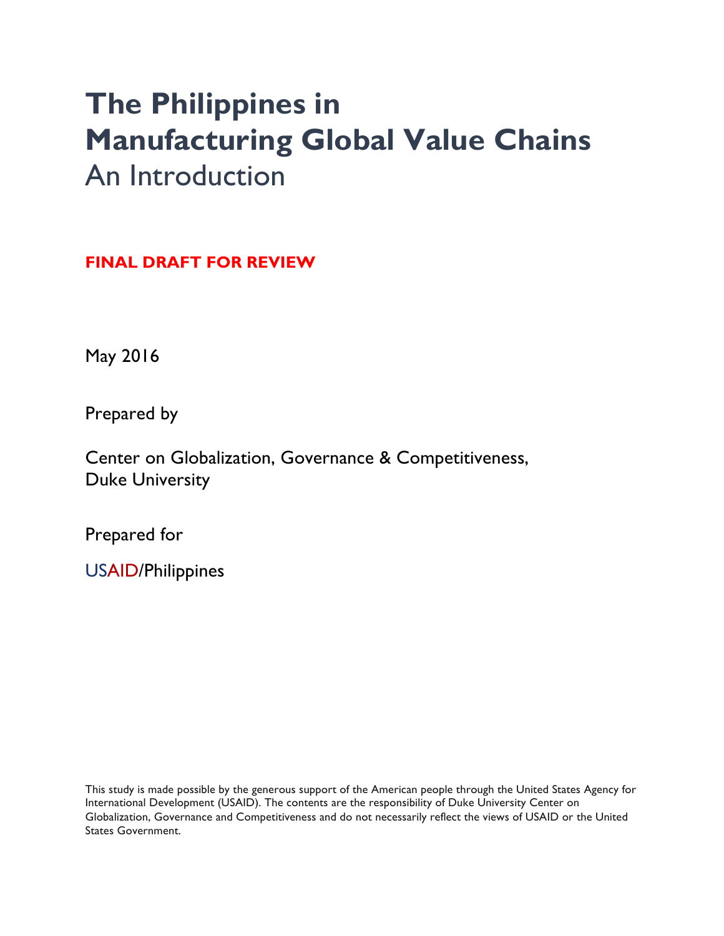## **The Philippines in Manufacturing Global Value Chains** An Introduction

**FINAL DRAFT FOR REVIEW**

May 2016

Prepared by

Center on Globalization, Governance & Competitiveness, Duke University

Prepared for

USAID/Philippines

This study is made possible by the generous support of the American people through the United States Agency for International Development (USAID). The contents are the responsibility of Duke University Center on Globalization, Governance and Competitiveness and do not necessarily reflect the views of USAID or the United States Government.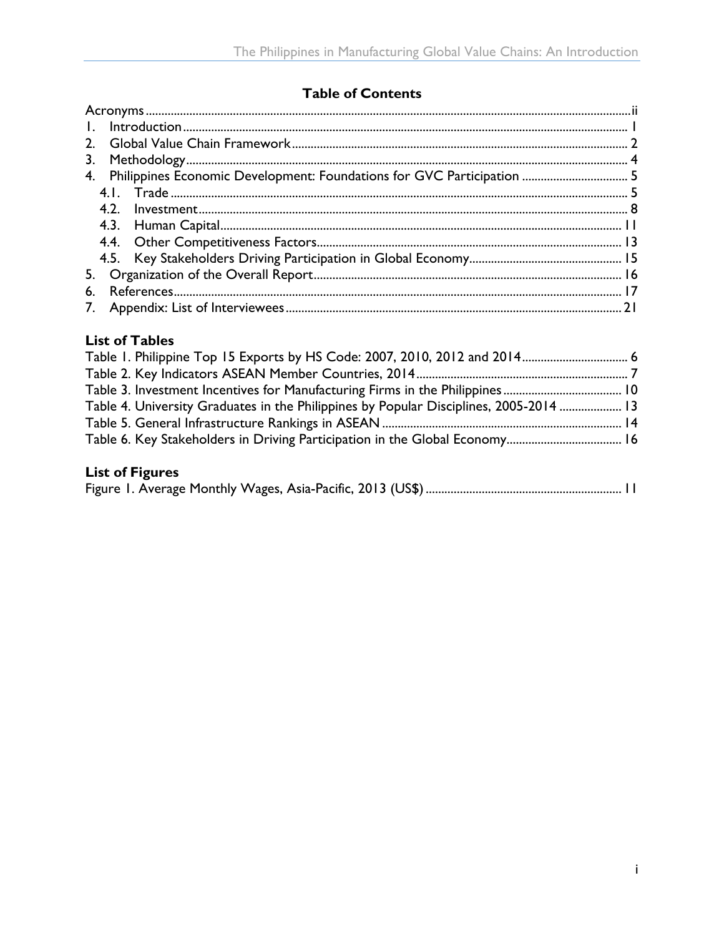#### **Table of Contents**

| 3.                                                                        |  |
|---------------------------------------------------------------------------|--|
| 4. Philippines Economic Development: Foundations for GVC Participation  5 |  |
|                                                                           |  |
| 4.2.                                                                      |  |
|                                                                           |  |
|                                                                           |  |
|                                                                           |  |
|                                                                           |  |
| 6.                                                                        |  |
|                                                                           |  |

#### **List of Tables**

| Table 1. Philippine Top 15 Exports by HS Code: 2007, 2010, 2012 and 2014 6             |  |
|----------------------------------------------------------------------------------------|--|
|                                                                                        |  |
|                                                                                        |  |
| Table 4. University Graduates in the Philippines by Popular Disciplines, 2005-2014  13 |  |
|                                                                                        |  |
|                                                                                        |  |
|                                                                                        |  |

#### **List of Figures**

|--|--|--|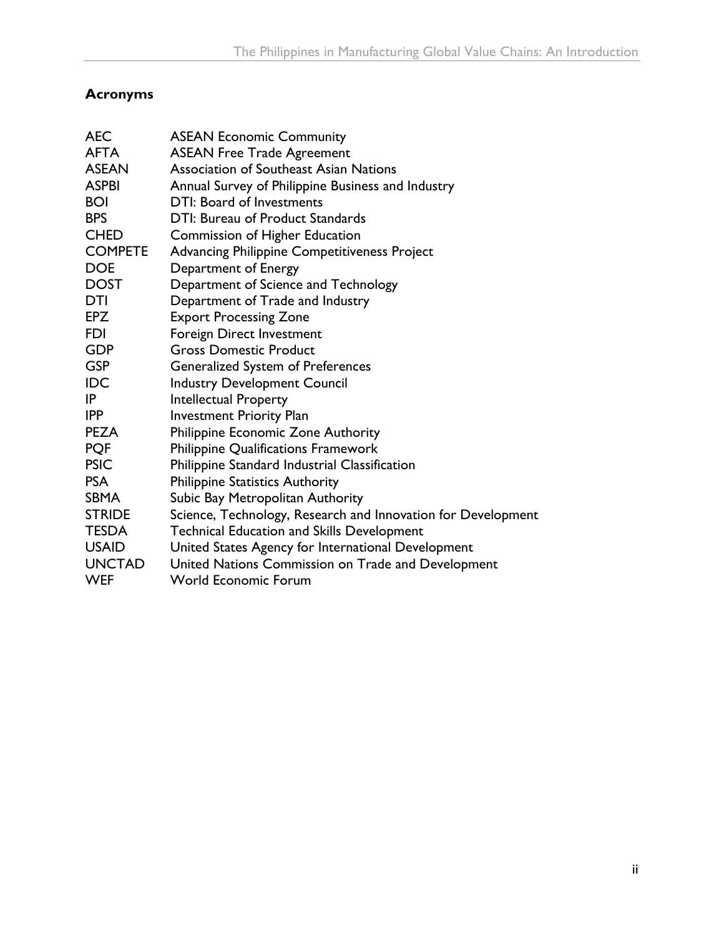#### <span id="page-4-0"></span>**Acronyms**

| <b>AEC</b>     | <b>ASEAN Economic Community</b>                              |
|----------------|--------------------------------------------------------------|
| <b>AFTA</b>    | <b>ASEAN Free Trade Agreement</b>                            |
| <b>ASEAN</b>   | <b>Association of Southeast Asian Nations</b>                |
| <b>ASPBI</b>   | Annual Survey of Philippine Business and Industry            |
| <b>BOI</b>     | DTI: Board of Investments                                    |
| <b>BPS</b>     | DTI: Bureau of Product Standards                             |
| <b>CHED</b>    | Commission of Higher Education                               |
| <b>COMPETE</b> | <b>Advancing Philippine Competitiveness Project</b>          |
| <b>DOE</b>     | Department of Energy                                         |
| <b>DOST</b>    | Department of Science and Technology                         |
| DTI            | Department of Trade and Industry                             |
| EPZ            | <b>Export Processing Zone</b>                                |
| <b>FDI</b>     | Foreign Direct Investment                                    |
| <b>GDP</b>     | <b>Gross Domestic Product</b>                                |
| <b>GSP</b>     | <b>Generalized System of Preferences</b>                     |
| <b>IDC</b>     | <b>Industry Development Council</b>                          |
| IP             | <b>Intellectual Property</b>                                 |
| <b>IPP</b>     | <b>Investment Priority Plan</b>                              |
| <b>PEZA</b>    | Philippine Economic Zone Authority                           |
| <b>PQF</b>     | Philippine Qualifications Framework                          |
| <b>PSIC</b>    | Philippine Standard Industrial Classification                |
| <b>PSA</b>     | <b>Philippine Statistics Authority</b>                       |
| <b>SBMA</b>    | Subic Bay Metropolitan Authority                             |
| <b>STRIDE</b>  | Science, Technology, Research and Innovation for Development |
| <b>TESDA</b>   | <b>Technical Education and Skills Development</b>            |
| <b>USAID</b>   | United States Agency for International Development           |
| <b>UNCTAD</b>  | United Nations Commission on Trade and Development           |
| <b>WEF</b>     | <b>World Economic Forum</b>                                  |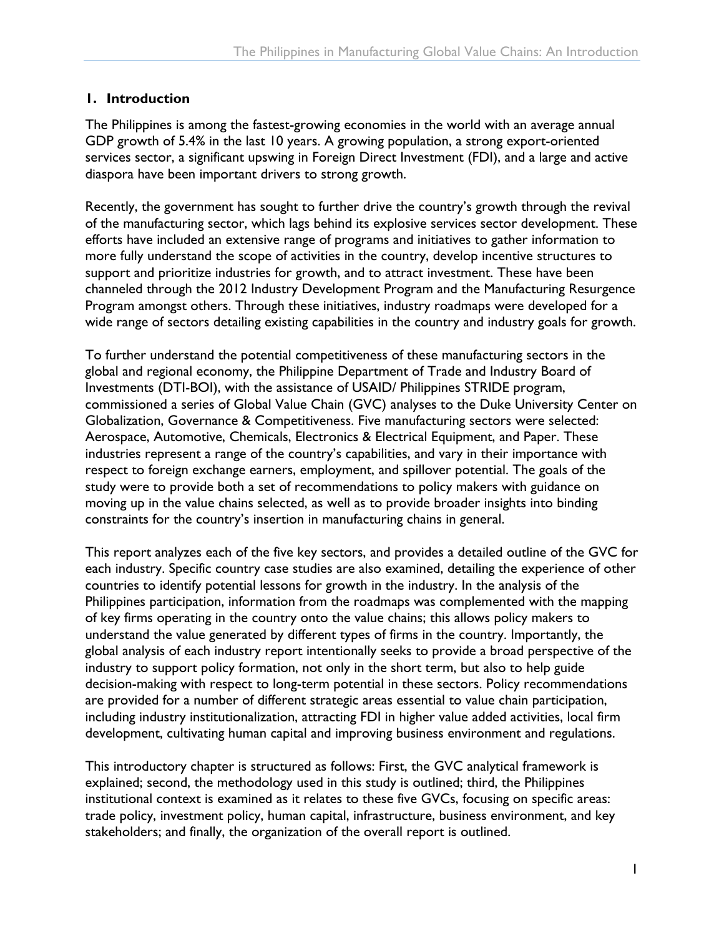#### <span id="page-5-0"></span>**1. Introduction**

The Philippines is among the fastest-growing economies in the world with an average annual GDP growth of 5.4% in the last 10 years. A growing population, a strong export-oriented services sector, a significant upswing in Foreign Direct Investment (FDI), and a large and active diaspora have been important drivers to strong growth.

Recently, the government has sought to further drive the country's growth through the revival of the manufacturing sector, which lags behind its explosive services sector development. These efforts have included an extensive range of programs and initiatives to gather information to more fully understand the scope of activities in the country, develop incentive structures to support and prioritize industries for growth, and to attract investment. These have been channeled through the 2012 Industry Development Program and the Manufacturing Resurgence Program amongst others. Through these initiatives, industry roadmaps were developed for a wide range of sectors detailing existing capabilities in the country and industry goals for growth.

To further understand the potential competitiveness of these manufacturing sectors in the global and regional economy, the Philippine Department of Trade and Industry Board of Investments (DTI-BOI), with the assistance of USAID/ Philippines STRIDE program, commissioned a series of Global Value Chain (GVC) analyses to the Duke University Center on Globalization, Governance & Competitiveness. Five manufacturing sectors were selected: Aerospace, Automotive, Chemicals, Electronics & Electrical Equipment, and Paper. These industries represent a range of the country's capabilities, and vary in their importance with respect to foreign exchange earners, employment, and spillover potential. The goals of the study were to provide both a set of recommendations to policy makers with guidance on moving up in the value chains selected, as well as to provide broader insights into binding constraints for the country's insertion in manufacturing chains in general.

This report analyzes each of the five key sectors, and provides a detailed outline of the GVC for each industry. Specific country case studies are also examined, detailing the experience of other countries to identify potential lessons for growth in the industry. In the analysis of the Philippines participation, information from the roadmaps was complemented with the mapping of key firms operating in the country onto the value chains; this allows policy makers to understand the value generated by different types of firms in the country. Importantly, the global analysis of each industry report intentionally seeks to provide a broad perspective of the industry to support policy formation, not only in the short term, but also to help guide decision-making with respect to long-term potential in these sectors. Policy recommendations are provided for a number of different strategic areas essential to value chain participation, including industry institutionalization, attracting FDI in higher value added activities, local firm development, cultivating human capital and improving business environment and regulations.

This introductory chapter is structured as follows: First, the GVC analytical framework is explained; second, the methodology used in this study is outlined; third, the Philippines institutional context is examined as it relates to these five GVCs, focusing on specific areas: trade policy, investment policy, human capital, infrastructure, business environment, and key stakeholders; and finally, the organization of the overall report is outlined.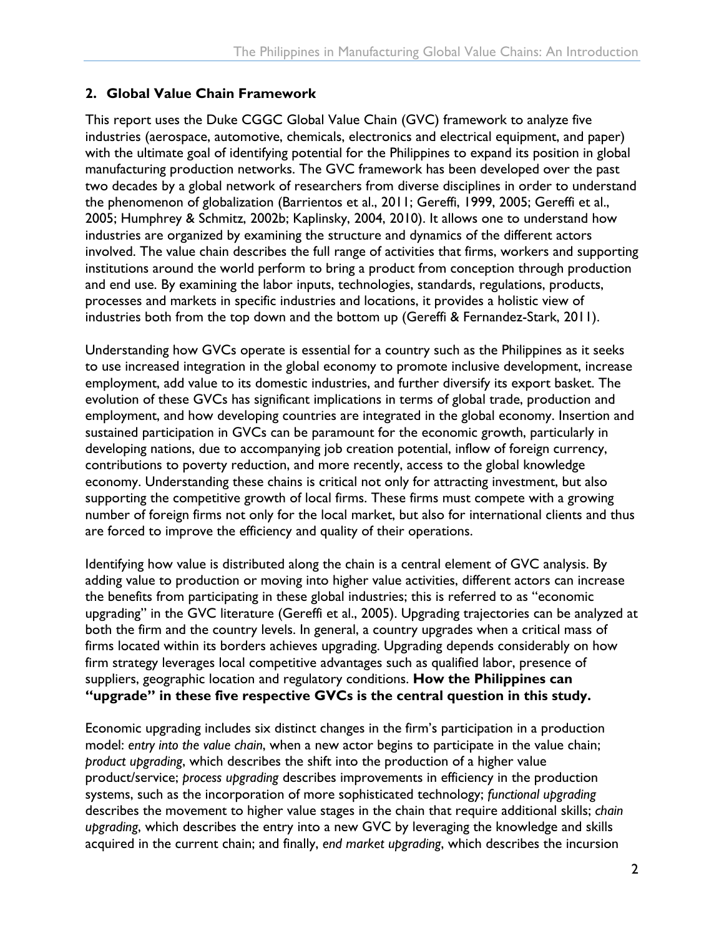#### <span id="page-6-0"></span>**2. Global Value Chain Framework**

This report uses the Duke CGGC Global Value Chain (GVC) framework to analyze five industries (aerospace, automotive, chemicals, electronics and electrical equipment, and paper) with the ultimate goal of identifying potential for the Philippines to expand its position in global manufacturing production networks. The GVC framework has been developed over the past two decades by a global network of researchers from diverse disciplines in order to understand the phenomenon of globalization (Barrientos et al., 2011; Gereffi, 1999, 2005; Gereffi et al., 2005; Humphrey & Schmitz, 2002b; Kaplinsky, 2004, 2010). It allows one to understand how industries are organized by examining the structure and dynamics of the different actors involved. The value chain describes the full range of activities that firms, workers and supporting institutions around the world perform to bring a product from conception through production and end use. By examining the labor inputs, technologies, standards, regulations, products, processes and markets in specific industries and locations, it provides a holistic view of industries both from the top down and the bottom up (Gereffi & Fernandez-Stark, 2011).

Understanding how GVCs operate is essential for a country such as the Philippines as it seeks to use increased integration in the global economy to promote inclusive development, increase employment, add value to its domestic industries, and further diversify its export basket. The evolution of these GVCs has significant implications in terms of global trade, production and employment, and how developing countries are integrated in the global economy. Insertion and sustained participation in GVCs can be paramount for the economic growth, particularly in developing nations, due to accompanying job creation potential, inflow of foreign currency, contributions to poverty reduction, and more recently, access to the global knowledge economy. Understanding these chains is critical not only for attracting investment, but also supporting the competitive growth of local firms. These firms must compete with a growing number of foreign firms not only for the local market, but also for international clients and thus are forced to improve the efficiency and quality of their operations.

Identifying how value is distributed along the chain is a central element of GVC analysis. By adding value to production or moving into higher value activities, different actors can increase the benefits from participating in these global industries; this is referred to as "economic upgrading" in the GVC literature (Gereffi et al., 2005). Upgrading trajectories can be analyzed at both the firm and the country levels. In general, a country upgrades when a critical mass of firms located within its borders achieves upgrading. Upgrading depends considerably on how firm strategy leverages local competitive advantages such as qualified labor, presence of suppliers, geographic location and regulatory conditions. **How the Philippines can "upgrade" in these five respective GVCs is the central question in this study.**

Economic upgrading includes six distinct changes in the firm's participation in a production model: *entry into the value chain*, when a new actor begins to participate in the value chain; *product upgrading*, which describes the shift into the production of a higher value product/service; *process upgrading* describes improvements in efficiency in the production systems, such as the incorporation of more sophisticated technology; *functional upgrading* describes the movement to higher value stages in the chain that require additional skills; *chain upgrading*, which describes the entry into a new GVC by leveraging the knowledge and skills acquired in the current chain; and finally, *end market upgrading*, which describes the incursion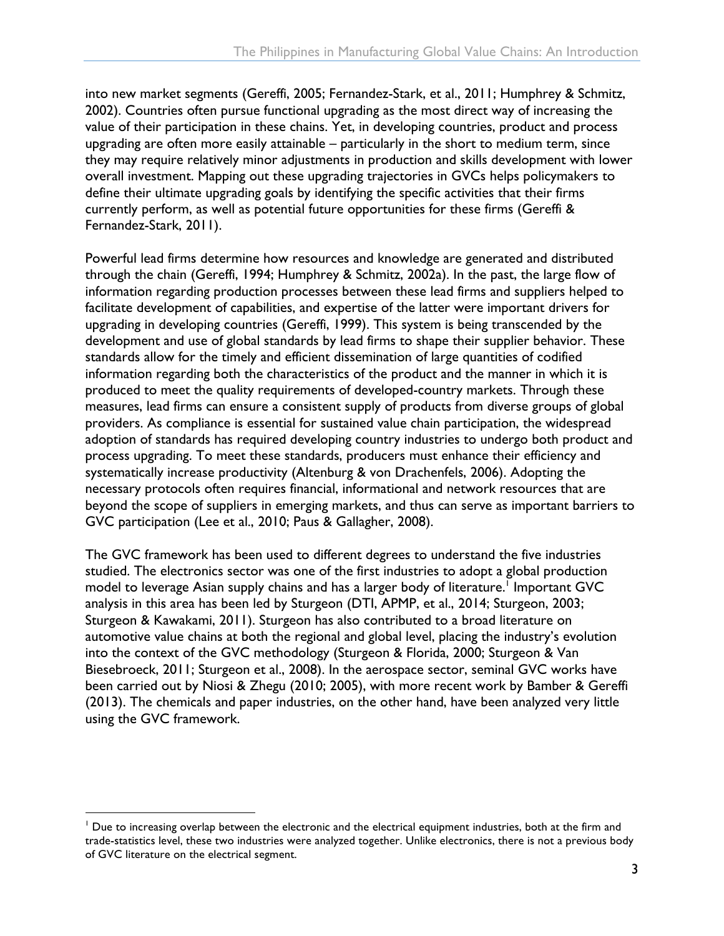into new market segments (Gereffi, 2005; Fernandez-Stark, et al., 2011; Humphrey & Schmitz, 2002). Countries often pursue functional upgrading as the most direct way of increasing the value of their participation in these chains. Yet, in developing countries, product and process upgrading are often more easily attainable – particularly in the short to medium term, since they may require relatively minor adjustments in production and skills development with lower overall investment. Mapping out these upgrading trajectories in GVCs helps policymakers to define their ultimate upgrading goals by identifying the specific activities that their firms currently perform, as well as potential future opportunities for these firms (Gereffi & Fernandez-Stark, 2011).

Powerful lead firms determine how resources and knowledge are generated and distributed through the chain (Gereffi, 1994; Humphrey & Schmitz, 2002a). In the past, the large flow of information regarding production processes between these lead firms and suppliers helped to facilitate development of capabilities, and expertise of the latter were important drivers for upgrading in developing countries (Gereffi, 1999). This system is being transcended by the development and use of global standards by lead firms to shape their supplier behavior. These standards allow for the timely and efficient dissemination of large quantities of codified information regarding both the characteristics of the product and the manner in which it is produced to meet the quality requirements of developed-country markets. Through these measures, lead firms can ensure a consistent supply of products from diverse groups of global providers. As compliance is essential for sustained value chain participation, the widespread adoption of standards has required developing country industries to undergo both product and process upgrading. To meet these standards, producers must enhance their efficiency and systematically increase productivity (Altenburg & von Drachenfels, 2006). Adopting the necessary protocols often requires financial, informational and network resources that are beyond the scope of suppliers in emerging markets, and thus can serve as important barriers to GVC participation (Lee et al., 2010; Paus & Gallagher, 2008).

The GVC framework has been used to different degrees to understand the five industries studied. The electronics sector was one of the first industries to adopt a global production model to leverage Asian supply chains and has a larger body of literature.<sup>1</sup> Important GVC analysis in this area has been led by Sturgeon (DTI, APMP, et al., 2014; Sturgeon, 2003; Sturgeon & Kawakami, 2011). Sturgeon has also contributed to a broad literature on automotive value chains at both the regional and global level, placing the industry's evolution into the context of the GVC methodology (Sturgeon & Florida, 2000; Sturgeon & Van Biesebroeck, 2011; Sturgeon et al., 2008). In the aerospace sector, seminal GVC works have been carried out by Niosi & Zhegu (2010; 2005), with more recent work by Bamber & Gereffi (2013). The chemicals and paper industries, on the other hand, have been analyzed very little using the GVC framework.

 $<sup>1</sup>$  Due to increasing overlap between the electronic and the electrical equipment industries, both at the firm and</sup> trade-statistics level, these two industries were analyzed together. Unlike electronics, there is not a previous body of GVC literature on the electrical segment.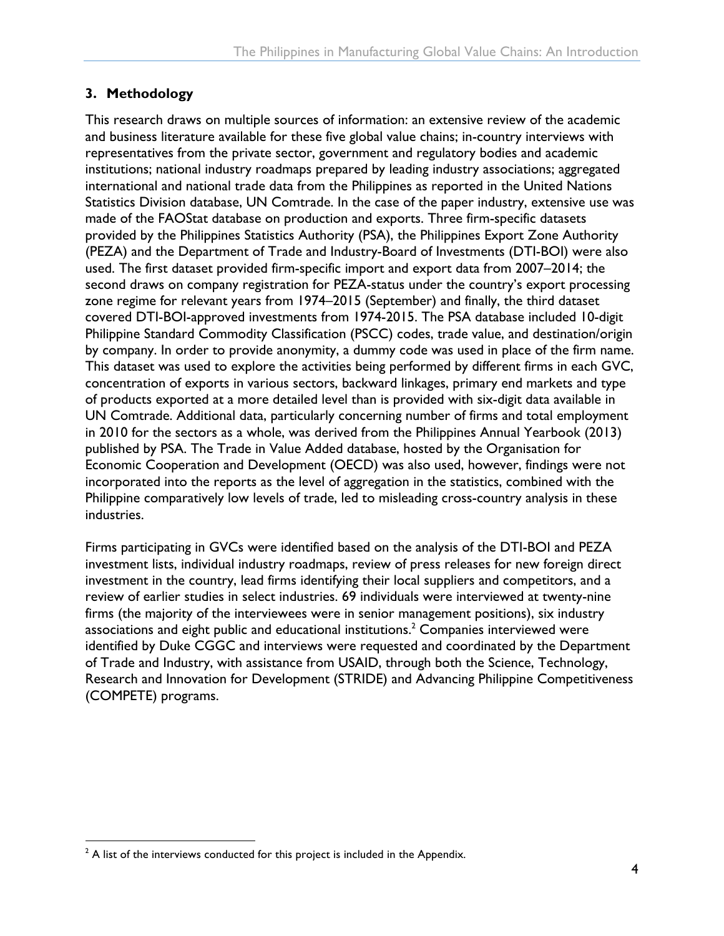#### <span id="page-8-0"></span>**3. Methodology**

This research draws on multiple sources of information: an extensive review of the academic and business literature available for these five global value chains; in-country interviews with representatives from the private sector, government and regulatory bodies and academic institutions; national industry roadmaps prepared by leading industry associations; aggregated international and national trade data from the Philippines as reported in the United Nations Statistics Division database, UN Comtrade. In the case of the paper industry, extensive use was made of the FAOStat database on production and exports. Three firm-specific datasets provided by the Philippines Statistics Authority (PSA), the Philippines Export Zone Authority (PEZA) and the Department of Trade and Industry-Board of Investments (DTI-BOI) were also used. The first dataset provided firm-specific import and export data from 2007–2014; the second draws on company registration for PEZA-status under the country's export processing zone regime for relevant years from 1974–2015 (September) and finally, the third dataset covered DTI-BOI-approved investments from 1974-2015. The PSA database included 10-digit Philippine Standard Commodity Classification (PSCC) codes, trade value, and destination/origin by company. In order to provide anonymity, a dummy code was used in place of the firm name. This dataset was used to explore the activities being performed by different firms in each GVC, concentration of exports in various sectors, backward linkages, primary end markets and type of products exported at a more detailed level than is provided with six-digit data available in UN Comtrade. Additional data, particularly concerning number of firms and total employment in 2010 for the sectors as a whole, was derived from the Philippines Annual Yearbook (2013) published by PSA. The Trade in Value Added database, hosted by the Organisation for Economic Cooperation and Development (OECD) was also used, however, findings were not incorporated into the reports as the level of aggregation in the statistics, combined with the Philippine comparatively low levels of trade, led to misleading cross-country analysis in these industries.

Firms participating in GVCs were identified based on the analysis of the DTI-BOI and PEZA investment lists, individual industry roadmaps, review of press releases for new foreign direct investment in the country, lead firms identifying their local suppliers and competitors, and a review of earlier studies in select industries. 69 individuals were interviewed at twenty-nine firms (the majority of the interviewees were in senior management positions), six industry associations and eight public and educational institutions. $^2$  Companies interviewed were identified by Duke CGGC and interviews were requested and coordinated by the Department of Trade and Industry, with assistance from USAID, through both the Science, Technology, Research and Innovation for Development (STRIDE) and Advancing Philippine Competitiveness (COMPETE) programs.

 $2$  A list of the interviews conducted for this project is included in the Appendix.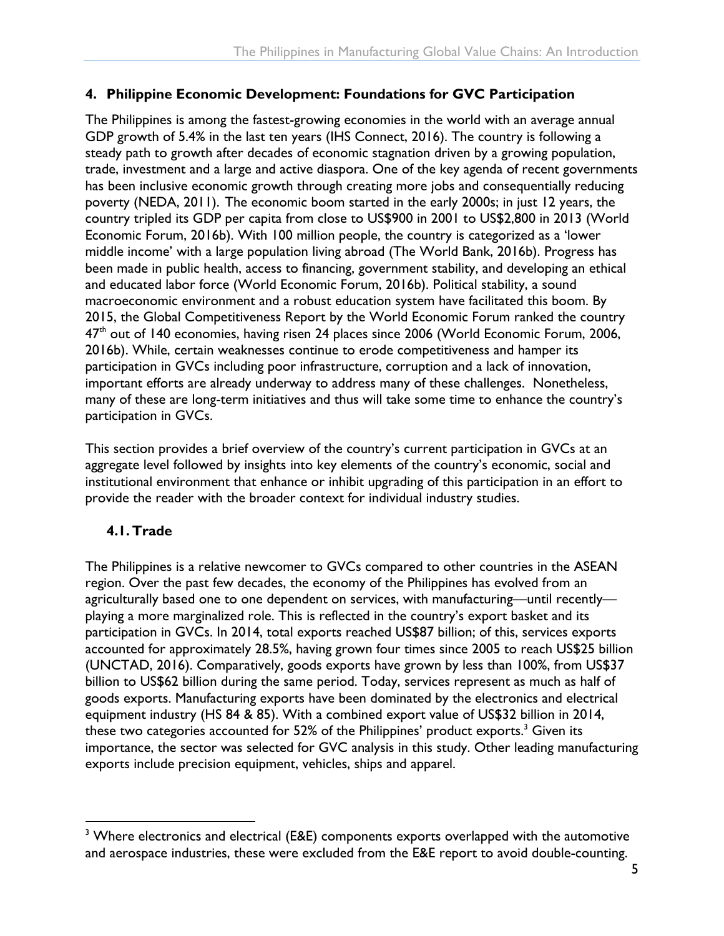#### <span id="page-9-0"></span>**4. Philippine Economic Development: Foundations for GVC Participation**

The Philippines is among the fastest-growing economies in the world with an average annual GDP growth of 5.4% in the last ten years (IHS Connect, 2016). The country is following a steady path to growth after decades of economic stagnation driven by a growing population, trade, investment and a large and active diaspora. One of the key agenda of recent governments has been inclusive economic growth through creating more jobs and consequentially reducing poverty (NEDA, 2011). The economic boom started in the early 2000s; in just 12 years, the country tripled its GDP per capita from close to US\$900 in 2001 to US\$2,800 in 2013 (World Economic Forum, 2016b). With 100 million people, the country is categorized as a 'lower middle income' with a large population living abroad (The World Bank, 2016b). Progress has been made in public health, access to financing, government stability, and developing an ethical and educated labor force (World Economic Forum, 2016b). Political stability, a sound macroeconomic environment and a robust education system have facilitated this boom. By 2015, the Global Competitiveness Report by the World Economic Forum ranked the country 47<sup>th</sup> out of 140 economies, having risen 24 places since 2006 (World Economic Forum, 2006, 2016b). While, certain weaknesses continue to erode competitiveness and hamper its participation in GVCs including poor infrastructure, corruption and a lack of innovation, important efforts are already underway to address many of these challenges. Nonetheless, many of these are long-term initiatives and thus will take some time to enhance the country's participation in GVCs.

This section provides a brief overview of the country's current participation in GVCs at an aggregate level followed by insights into key elements of the country's economic, social and institutional environment that enhance or inhibit upgrading of this participation in an effort to provide the reader with the broader context for individual industry studies.

#### <span id="page-9-1"></span>**4.1. Trade**

The Philippines is a relative newcomer to GVCs compared to other countries in the ASEAN region. Over the past few decades, the economy of the Philippines has evolved from an agriculturally based one to one dependent on services, with manufacturing—until recently playing a more marginalized role. This is reflected in the country's export basket and its participation in GVCs. In 2014, total exports reached US\$87 billion; of this, services exports accounted for approximately 28.5%, having grown four times since 2005 to reach US\$25 billion (UNCTAD, 2016). Comparatively, goods exports have grown by less than 100%, from US\$37 billion to US\$62 billion during the same period. Today, services represent as much as half of goods exports. Manufacturing exports have been dominated by the electronics and electrical equipment industry (HS 84 & 85). With a combined export value of US\$32 billion in 2014, these two categories accounted for 52% of the Philippines' product exports. $^3$  Given its importance, the sector was selected for GVC analysis in this study. Other leading manufacturing exports include precision equipment, vehicles, ships and apparel.

<sup>&</sup>lt;sup>3</sup> Where electronics and electrical (E&E) components exports overlapped with the automotive and aerospace industries, these were excluded from the E&E report to avoid double-counting.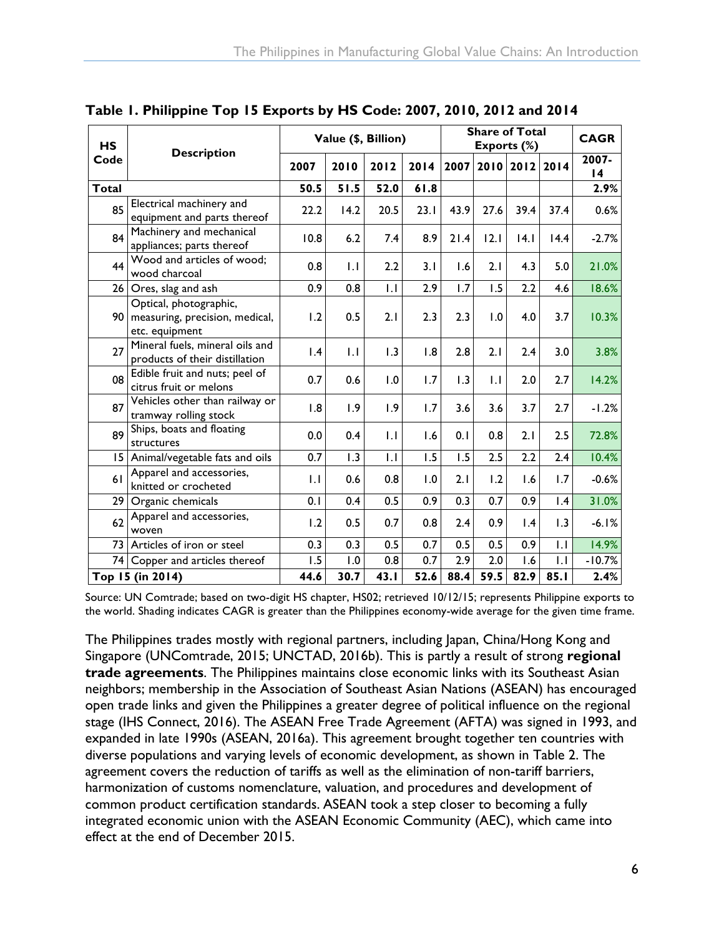| <b>HS</b>       | <b>Description</b>                                                         | Value (\$, Billion) |              |                | <b>Share of Total</b><br>Exports (%) |      |              |           | <b>CAGR</b>     |             |
|-----------------|----------------------------------------------------------------------------|---------------------|--------------|----------------|--------------------------------------|------|--------------|-----------|-----------------|-------------|
| Code            |                                                                            |                     | 2010         | 2012           | 2014                                 | 2007 |              | 2010 2012 | 2014            | 2007-<br>14 |
| Total           |                                                                            | 50.5                | 51.5         | 52.0           | 61.8                                 |      |              |           |                 | 2.9%        |
| 85              | Electrical machinery and<br>equipment and parts thereof                    | 22.2                | 14.2         | 20.5           | 23.1                                 | 43.9 | 27.6         | 39.4      | 37.4            | 0.6%        |
| 84              | Machinery and mechanical<br>appliances; parts thereof                      | 10.8                | 6.2          | 7.4            | 8.9                                  | 21.4 | 12.1         | 4.1       | 14.4            | $-2.7%$     |
| 44              | Wood and articles of wood;<br>wood charcoal                                | 0.8                 | 1.1          | 2.2            | 3.1                                  | 1.6  | 2.1          | 4.3       | 5.0             | 21.0%       |
| 26 <sub>1</sub> | Ores, slag and ash                                                         | 0.9                 | 0.8          | $\overline{L}$ | 2.9                                  | 1.7  | 1.5          | 2.2       | 4.6             | 18.6%       |
| 90 <sub>1</sub> | Optical, photographic,<br>measuring, precision, medical,<br>etc. equipment | 1.2                 | 0.5          | 2.1            | 2.3                                  | 2.3  | 1.0          | 4.0       | 3.7             | 10.3%       |
| 27              | Mineral fuels, mineral oils and<br>products of their distillation          | $\mathsf{I}$ .4     | $\mathsf{L}$ | 1.3            | 1.8                                  | 2.8  | 2.1          | 2.4       | 3.0             | 3.8%        |
| 08              | Edible fruit and nuts; peel of<br>citrus fruit or melons                   | 0.7                 | 0.6          | 1.0            | 1.7                                  | 1.3  | $\mathsf{L}$ | 2.0       | 2.7             | 14.2%       |
| 87              | Vehicles other than railway or<br>tramway rolling stock                    | 1.8                 | 1.9          | 1.9            | 1.7                                  | 3.6  | 3.6          | 3.7       | 2.7             | $-1.2%$     |
| 89              | Ships, boats and floating<br>structures                                    | 0.0                 | 0.4          | $\mathsf{L}$   | 1.6                                  | 0.1  | 0.8          | 2.1       | 2.5             | 72.8%       |
| 15              | Animal/vegetable fats and oils                                             | 0.7                 | 1.3          | $\mathsf{L}$   | 1.5                                  | 1.5  | 2.5          | 2.2       | 2.4             | 10.4%       |
| 61              | Apparel and accessories,<br>knitted or crocheted                           | $\mathsf{L}$        | 0.6          | 0.8            | 0.1                                  | 2.1  | 1.2          | 1.6       | 1.7             | $-0.6%$     |
| 29 <sub>1</sub> | Organic chemicals                                                          | 0.1                 | 0.4          | 0.5            | 0.9                                  | 0.3  | 0.7          | 0.9       | $\mathsf{I}$ .4 | 31.0%       |
| 62              | Apparel and accessories,<br>woven                                          | 1.2                 | 0.5          | 0.7            | 0.8                                  | 2.4  | 0.9          | 1.4       | 1.3             | $-6.1%$     |
| 73              | Articles of iron or steel                                                  | 0.3                 | 0.3          | 0.5            | 0.7                                  | 0.5  | 0.5          | 0.9       | $  \cdot  $     | 14.9%       |
| 74              | Copper and articles thereof                                                | 1.5                 | 1.0          | 0.8            | 0.7                                  | 2.9  | 2.0          | 1.6       | 1.1             | $-10.7%$    |
|                 | Top 15 (in 2014)                                                           | 44.6                | 30.7         | 43.1           | 52.6                                 | 88.4 | 59.5         | 82.9      | 85.1            | 2.4%        |

<span id="page-10-0"></span>**Table 1. Philippine Top 15 Exports by HS Code: 2007, 2010, 2012 and 2014**

Source: UN Comtrade; based on two-digit HS chapter, HS02; retrieved 10/12/15; represents Philippine exports to the world. Shading indicates CAGR is greater than the Philippines economy-wide average for the given time frame.

The Philippines trades mostly with regional partners, including Japan, China/Hong Kong and Singapore (UNComtrade, 2015; UNCTAD, 2016b). This is partly a result of strong **regional trade agreements**. The Philippines maintains close economic links with its Southeast Asian neighbors; membership in the Association of Southeast Asian Nations (ASEAN) has encouraged open trade links and given the Philippines a greater degree of political influence on the regional stage (IHS Connect, 2016). The ASEAN Free Trade Agreement (AFTA) was signed in 1993, and expanded in late 1990s (ASEAN, 2016a). This agreement brought together ten countries with diverse populations and varying levels of economic development, as shown in Table 2. The agreement covers the reduction of tariffs as well as the elimination of non-tariff barriers, harmonization of customs nomenclature, valuation, and procedures and development of common product certification standards. ASEAN took a step closer to becoming a fully integrated economic union with the ASEAN Economic Community (AEC), which came into effect at the end of December 2015.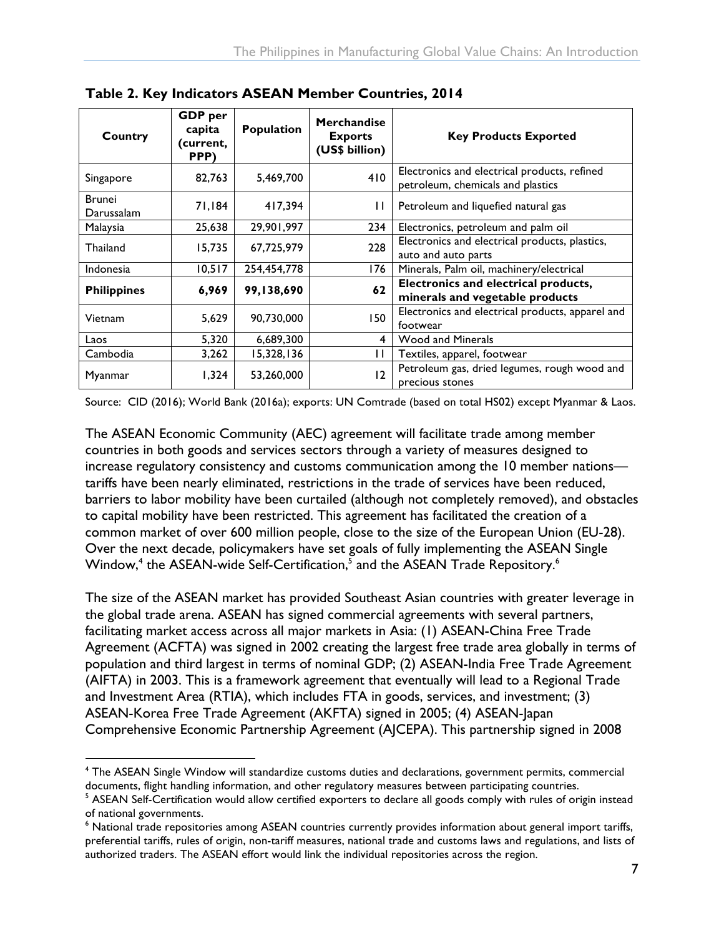| Country                     | <b>GDP</b> per<br>capita<br>(current,<br>PPP) | Population  | <b>Merchandise</b><br><b>Exports</b><br>(US\$ billion) | <b>Key Products Exported</b>                                                      |
|-----------------------------|-----------------------------------------------|-------------|--------------------------------------------------------|-----------------------------------------------------------------------------------|
| Singapore                   | 82,763                                        | 5,469,700   | 410                                                    | Electronics and electrical products, refined<br>petroleum, chemicals and plastics |
| <b>Brunei</b><br>Darussalam | 71,184                                        | 417,394     | $\mathbf{1}$                                           | Petroleum and liquefied natural gas                                               |
| Malaysia                    | 25,638                                        | 29,901,997  | 234                                                    | Electronics, petroleum and palm oil                                               |
| <b>Thailand</b>             | 15,735                                        | 67,725,979  | 228                                                    | Electronics and electrical products, plastics,<br>auto and auto parts             |
| <b>Indonesia</b>            | 10,517                                        | 254,454,778 | 176                                                    | Minerals, Palm oil, machinery/electrical                                          |
| <b>Philippines</b>          | 6,969                                         | 99,138,690  | 62                                                     | Electronics and electrical products,<br>minerals and vegetable products           |
| Vietnam                     | 5,629                                         | 90,730,000  | 150                                                    | Electronics and electrical products, apparel and<br>footwear                      |
| Laos                        | 5,320                                         | 6,689,300   | 4                                                      | <b>Wood and Minerals</b>                                                          |
| Cambodia                    | 3,262                                         | 15,328,136  | П                                                      | Textiles, apparel, footwear                                                       |
| Myanmar                     | 1,324                                         | 53,260,000  | 12                                                     | Petroleum gas, dried legumes, rough wood and<br>precious stones                   |

<span id="page-11-0"></span>**Table 2. Key Indicators ASEAN Member Countries, 2014**

Source: CID (2016); World Bank (2016a); exports: UN Comtrade (based on total HS02) except Myanmar & Laos.

The ASEAN Economic Community (AEC) agreement will facilitate trade among member countries in both goods and services sectors through a variety of measures designed to increase regulatory consistency and customs communication among the 10 member nations tariffs have been nearly eliminated, restrictions in the trade of services have been reduced, barriers to labor mobility have been curtailed (although not completely removed), and obstacles to capital mobility have been restricted. This agreement has facilitated the creation of a common market of over 600 million people, close to the size of the European Union (EU-28). Over the next decade, policymakers have set goals of fully implementing the ASEAN Single Window,<sup>4</sup> the ASEAN-wide Self-Certification,<sup>5</sup> and the ASEAN Trade Repository.<sup>6</sup>

The size of the ASEAN market has provided Southeast Asian countries with greater leverage in the global trade arena. ASEAN has signed commercial agreements with several partners, facilitating market access across all major markets in Asia: (1) ASEAN-China Free Trade Agreement (ACFTA) was signed in 2002 creating the largest free trade area globally in terms of population and third largest in terms of nominal GDP; (2) ASEAN-India Free Trade Agreement (AIFTA) in 2003. This is a framework agreement that eventually will lead to a Regional Trade and Investment Area (RTIA), which includes FTA in goods, services, and investment; (3) ASEAN-Korea Free Trade Agreement (AKFTA) signed in 2005; (4) ASEAN-Japan Comprehensive Economic Partnership Agreement (AJCEPA). This partnership signed in 2008

<sup>&</sup>lt;sup>4</sup> The ASEAN Single Window will standardize customs duties and declarations, government permits, commercial documents, flight handling information, and other regulatory measures between participating countries.

<sup>&</sup>lt;sup>5</sup> ASEAN Self-Certification would allow certified exporters to declare all goods comply with rules of origin instead of national governments.

<sup>&</sup>lt;sup>6</sup> National trade repositories among ASEAN countries currently provides information about general import tariffs, preferential tariffs, rules of origin, non-tariff measures, national trade and customs laws and regulations, and lists of authorized traders. The ASEAN effort would link the individual repositories across the region.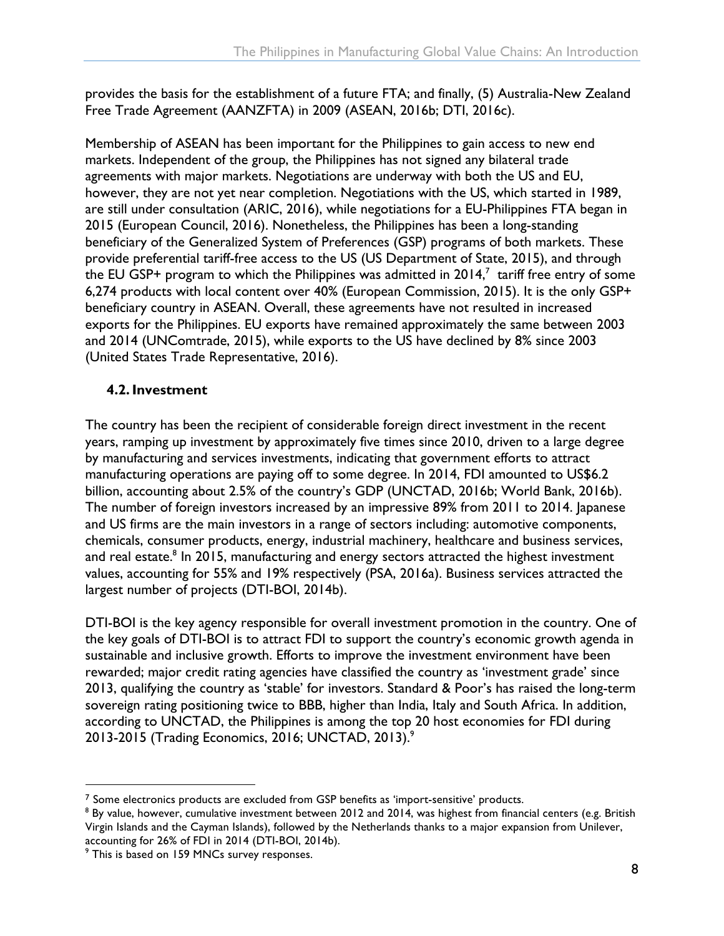provides the basis for the establishment of a future FTA; and finally, (5) Australia-New Zealand Free Trade Agreement (AANZFTA) in 2009 (ASEAN, 2016b; DTI, 2016c).

Membership of ASEAN has been important for the Philippines to gain access to new end markets. Independent of the group, the Philippines has not signed any bilateral trade agreements with major markets. Negotiations are underway with both the US and EU, however, they are not yet near completion. Negotiations with the US, which started in 1989, are still under consultation (ARIC, 2016), while negotiations for a EU-Philippines FTA began in 2015 (European Council, 2016). Nonetheless, the Philippines has been a long-standing beneficiary of the Generalized System of Preferences (GSP) programs of both markets. These provide preferential tariff-free access to the US (US Department of State, 2015), and through the EU GSP+ program to which the Philippines was admitted in 2014, $^7\,$  tariff free entry of some 6,274 products with local content over 40% (European Commission, 2015). It is the only GSP+ beneficiary country in ASEAN. Overall, these agreements have not resulted in increased exports for the Philippines. EU exports have remained approximately the same between 2003 and 2014 (UNComtrade, 2015), while exports to the US have declined by 8% since 2003 (United States Trade Representative, 2016).

#### <span id="page-12-0"></span>**4.2.Investment**

The country has been the recipient of considerable foreign direct investment in the recent years, ramping up investment by approximately five times since 2010, driven to a large degree by manufacturing and services investments, indicating that government efforts to attract manufacturing operations are paying off to some degree. In 2014, FDI amounted to US\$6.2 billion, accounting about 2.5% of the country's GDP (UNCTAD, 2016b; World Bank, 2016b). The number of foreign investors increased by an impressive 89% from 2011 to 2014. Japanese and US firms are the main investors in a range of sectors including: automotive components, chemicals, consumer products, energy, industrial machinery, healthcare and business services, and real estate.<sup>8</sup> In 2015, manufacturing and energy sectors attracted the highest investment values, accounting for 55% and 19% respectively (PSA, 2016a). Business services attracted the largest number of projects (DTI-BOI, 2014b).

DTI-BOI is the key agency responsible for overall investment promotion in the country. One of the key goals of DTI-BOI is to attract FDI to support the country's economic growth agenda in sustainable and inclusive growth. Efforts to improve the investment environment have been rewarded; major credit rating agencies have classified the country as 'investment grade' since 2013, qualifying the country as 'stable' for investors. Standard & Poor's has raised the long-term sovereign rating positioning twice to BBB, higher than India, Italy and South Africa. In addition, according to UNCTAD, the Philippines is among the top 20 host economies for FDI during 2013-2015 (Trading Economics, 2016; UNCTAD, 2013). 9

<sup>&</sup>lt;sup>7</sup> Some electronics products are excluded from GSP benefits as 'import-sensitive' products.<br><sup>8</sup> By value, however, cumulative investment between 2012 and 2014, was highest from financial centers (e.g. British Virgin Islands and the Cayman Islands), followed by the Netherlands thanks to a major expansion from Unilever,

accounting for 26% of FDI in 2014 (DTI-BOI, 2014b).<br><sup>9</sup> This is based on 159 MNCs survey responses.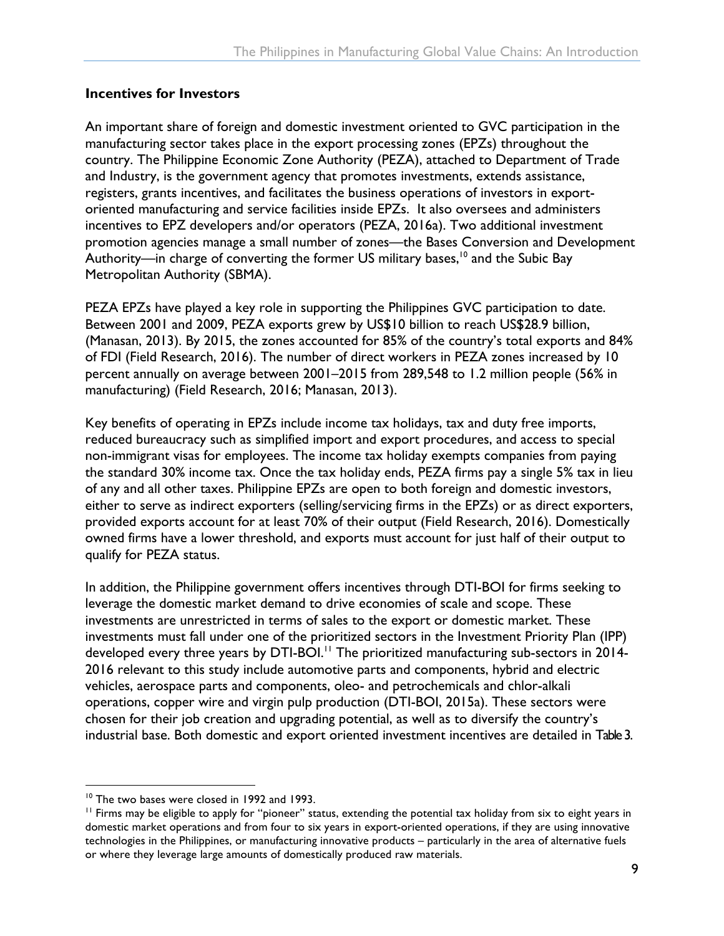#### **Incentives for Investors**

An important share of foreign and domestic investment oriented to GVC participation in the manufacturing sector takes place in the export processing zones (EPZs) throughout the country. The Philippine Economic Zone Authority (PEZA), attached to Department of Trade and Industry, is the government agency that promotes investments, extends assistance, registers, grants incentives, and facilitates the business operations of investors in exportoriented manufacturing and service facilities inside EPZs. It also oversees and administers incentives to EPZ developers and/or operators (PEZA, 2016a). Two additional investment promotion agencies manage a small number of zones—the Bases Conversion and Development Authority—in charge of converting the former US military bases,<sup>10</sup> and the Subic Bay Metropolitan Authority (SBMA).

PEZA EPZs have played a key role in supporting the Philippines GVC participation to date. Between 2001 and 2009, PEZA exports grew by US\$10 billion to reach US\$28.9 billion, (Manasan, 2013). By 2015, the zones accounted for 85% of the country's total exports and 84% of FDI (Field Research, 2016). The number of direct workers in PEZA zones increased by 10 percent annually on average between 2001–2015 from 289,548 to 1.2 million people (56% in manufacturing) (Field Research, 2016; Manasan, 2013).

Key benefits of operating in EPZs include income tax holidays, tax and duty free imports, reduced bureaucracy such as simplified import and export procedures, and access to special non-immigrant visas for employees. The income tax holiday exempts companies from paying the standard 30% income tax. Once the tax holiday ends, PEZA firms pay a single 5% tax in lieu of any and all other taxes. Philippine EPZs are open to both foreign and domestic investors, either to serve as indirect exporters (selling/servicing firms in the EPZs) or as direct exporters, provided exports account for at least 70% of their output (Field Research, 2016). Domestically owned firms have a lower threshold, and exports must account for just half of their output to qualify for PEZA status.

In addition, the Philippine government offers incentives through DTI-BOI for firms seeking to leverage the domestic market demand to drive economies of scale and scope. These investments are unrestricted in terms of sales to the export or domestic market. These investments must fall under one of the prioritized sectors in the Investment Priority Plan (IPP) developed every three years by DTI-BOI.<sup>11</sup> The prioritized manufacturing sub-sectors in  $2014$ -2016 relevant to this study include automotive parts and components, hybrid and electric vehicles, aerospace parts and components, oleo- and petrochemicals and chlor-alkali operations, copper wire and virgin pulp production (DTI-BOI, 2015a). These sectors were chosen for their job creation and upgrading potential, as well as to diversify the country's industrial base. Both domestic and export oriented investment incentives are detailed in Table 3.

<sup>&</sup>lt;sup>10</sup> The two bases were closed in 1992 and 1993.<br><sup>11</sup> Firms may be eligible to apply for "pioneer" status, extending the potential tax holiday from six to eight years in domestic market operations and from four to six years in export-oriented operations, if they are using innovative technologies in the Philippines, or manufacturing innovative products – particularly in the area of alternative fuels or where they leverage large amounts of domestically produced raw materials.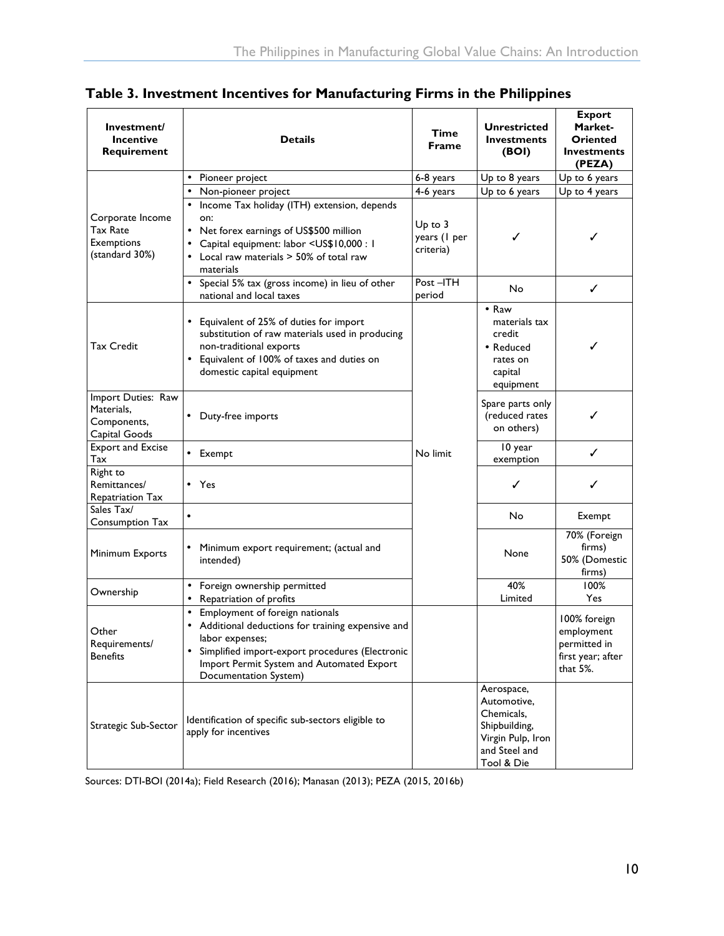<span id="page-14-0"></span>

| Table 3. Investment Incentives for Manufacturing Firms in the Philippines |  |  |  |  |
|---------------------------------------------------------------------------|--|--|--|--|
|                                                                           |  |  |  |  |

| Investment/<br><b>Incentive</b><br>Requirement                      | <b>Details</b>                                                                                                                                                                                                                         | Time<br><b>Frame</b>                     | <b>Unrestricted</b><br><b>Investments</b><br>(BOI)                                                           | <b>Export</b><br>Market-<br>Oriented<br><b>Investments</b><br>(PEZA)            |
|---------------------------------------------------------------------|----------------------------------------------------------------------------------------------------------------------------------------------------------------------------------------------------------------------------------------|------------------------------------------|--------------------------------------------------------------------------------------------------------------|---------------------------------------------------------------------------------|
|                                                                     | • Pioneer project                                                                                                                                                                                                                      | 6-8 years                                | Up to 8 years                                                                                                | Up to 6 years                                                                   |
|                                                                     | Non-pioneer project                                                                                                                                                                                                                    | 4-6 years                                | Up to 6 years                                                                                                | Up to 4 years                                                                   |
| Corporate Income<br>Tax Rate<br><b>Exemptions</b><br>(standard 30%) | Income Tax holiday (ITH) extension, depends<br>on:<br>• Net forex earnings of US\$500 million<br>Capital equipment: labor <us\$10,000 1<br="" :="">• Local raw materials &gt; 50% of total raw<br/>materials</us\$10,000>              | $Up$ to $3$<br>years (I per<br>criteria) | ✓                                                                                                            | ✓                                                                               |
|                                                                     | • Special 5% tax (gross income) in lieu of other<br>national and local taxes                                                                                                                                                           | Post-ITH<br>period                       | No                                                                                                           | ✓                                                                               |
| <b>Tax Credit</b>                                                   | • Equivalent of 25% of duties for import<br>substitution of raw materials used in producing<br>non-traditional exports<br>Equivalent of 100% of taxes and duties on<br>$\bullet$<br>domestic capital equipment                         |                                          | • Raw<br>materials tax<br>credit<br>• Reduced<br>rates on<br>capital<br>equipment                            | ✓                                                                               |
| Import Duties: Raw<br>Materials,<br>Components,<br>Capital Goods    | Duty-free imports                                                                                                                                                                                                                      |                                          | Spare parts only<br>(reduced rates<br>on others)                                                             | ✓                                                                               |
| <b>Export and Excise</b><br>Tax                                     | • Exempt                                                                                                                                                                                                                               | No limit                                 | 10 year<br>exemption                                                                                         | ✓                                                                               |
| Right to<br>Remittances/<br>Repatriation Tax                        | • Yes                                                                                                                                                                                                                                  |                                          | ✓                                                                                                            | ✓                                                                               |
| Sales Tax/<br>Consumption Tax                                       | $\bullet$                                                                                                                                                                                                                              |                                          | No                                                                                                           | Exempt                                                                          |
| Minimum Exports                                                     | Minimum export requirement; (actual and<br>intended)                                                                                                                                                                                   |                                          | None                                                                                                         | 70% (Foreign<br>firms)<br>50% (Domestic<br>firms)                               |
| Ownership                                                           | • Foreign ownership permitted<br>Repatriation of profits<br>$\bullet$                                                                                                                                                                  |                                          | 40%<br>Limited                                                                                               | 100%<br>Yes                                                                     |
| Other<br>Requirements/<br><b>Benefits</b>                           | Employment of foreign nationals<br>• Additional deductions for training expensive and<br>labor expenses;<br>Simplified import-export procedures (Electronic<br>٠<br>Import Permit System and Automated Export<br>Documentation System) |                                          |                                                                                                              | 100% foreign<br>employment<br>permitted in<br>first year; after<br>that $5\%$ . |
| Strategic Sub-Sector                                                | Identification of specific sub-sectors eligible to<br>apply for incentives                                                                                                                                                             |                                          | Aerospace,<br>Automotive,<br>Chemicals,<br>Shipbuilding,<br>Virgin Pulp, Iron<br>and Steel and<br>Tool & Die |                                                                                 |

Sources: DTI-BOI (2014a); Field Research (2016); Manasan (2013); PEZA (2015, 2016b)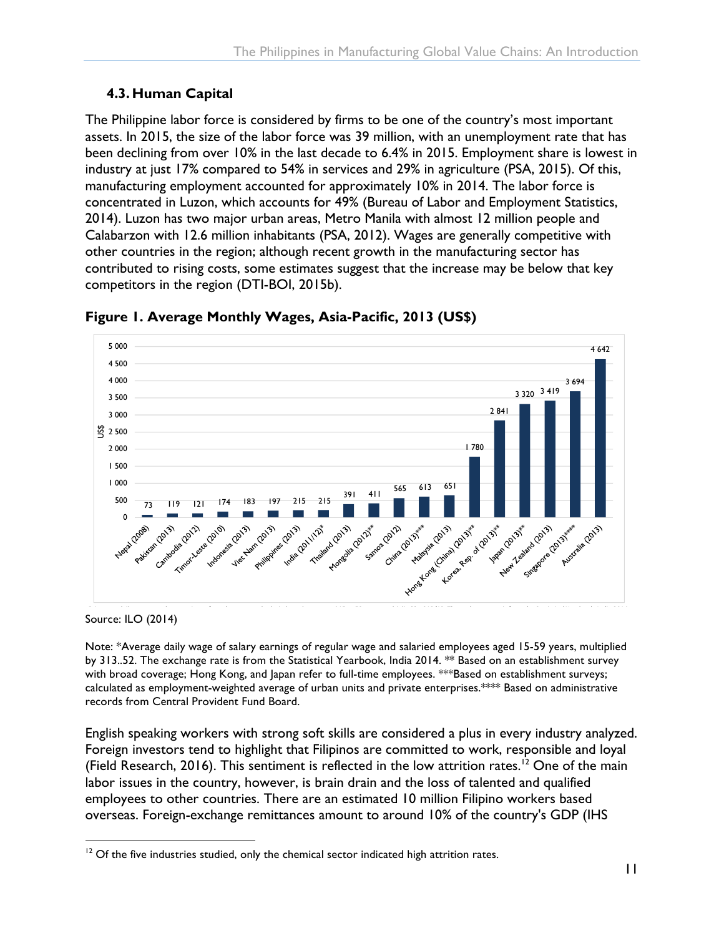#### <span id="page-15-0"></span>**4.3. Human Capital**

The Philippine labor force is considered by firms to be one of the country's most important assets. In 2015, the size of the labor force was 39 million, with an unemployment rate that has been declining from over 10% in the last decade to 6.4% in 2015. Employment share is lowest in industry at just 17% compared to 54% in services and 29% in agriculture (PSA, 2015). Of this, manufacturing employment accounted for approximately 10% in 2014. The labor force is concentrated in Luzon, which accounts for 49% (Bureau of Labor and Employment Statistics, 2014). Luzon has two major urban areas, Metro Manila with almost 12 million people and Calabarzon with 12.6 million inhabitants (PSA, 2012). Wages are generally competitive with other countries in the region; although recent growth in the manufacturing sector has cand count its in the region, annough recent growth in the manufaced ing sector has<br>contributed to rising costs, some estimates suggest that the increase may be below that key competitors in the region (DTI-BOI, 2015b). conditioned to rising costs, some estimates s  $U_2$  is the low wage leaded by the low  $U_1$  in  $U_2$ . Due to the low was the low wave levels of  $U_1$  in  $U_2$ Malaysia (US\$651) had substantially higher wages in 2013, although the incorrect of the  $\mu$  below that  $\kappa$ 



<span id="page-15-1"></span>Figure 1. Average Monthly Wages, Asia-Pacific, 2013 (US\$)

 ${\tt Source: ILO (2014)}$  $\mathcal{L}(\mathcal{L} \cup \mathcal{L} \cup \mathcal{L} \cup \mathcal{L} \cup \mathcal{L} \cup \mathcal{L} \cup \mathcal{L} \cup \mathcal{L} \cup \mathcal{L} \cup \mathcal{L} \cup \mathcal{L} \cup \mathcal{L} \cup \mathcal{L} \cup \mathcal{L} \cup \mathcal{L} \cup \mathcal{L} \cup \mathcal{L} \cup \mathcal{L} \cup \mathcal{L} \cup \mathcal{L} \cup \mathcal{L} \cup \mathcal{L} \cup \mathcal{L} \cup \mathcal{L} \cup \mathcal{L} \cup \mathcal{L} \cup \mathcal{L}$ 

Note: \*Average daily wage of salary earnings of regular wage and salaried employees aged 15-59 years, multiplied by 313..52. The exchange rate is from the Statistical Yearbook, India 2014. \*\* Based on an establishment survey !!!!!!!!!!!!!!!!!!!!!!!!!!!!!!!!!!!!!!!!!!!!!!!!!!!!!!!!!! with broad coverage; Hong Kong, and Japan refer to full-time employees. \*\*\*Based on establishment surveys; calculated as employment-weighted average of urban units and private enterprises.\*\*\*\* Based on administrative records from Central Provident Fund Board. aculated as employment-weighted average of urban poverty and anonymic on  $\frac{1}{2}$ 

English speaking workers with strong soft skills are considered a plus in every industry analyzed. Foreign investors tend to highlight that Filipinos are committed to work, responsible and loyal (Field Research, 2016). This sentiment is reflected in the low attrition rates.<sup>12</sup> One of the main labor issues in the country, however, is brain drain and the loss of talented and qualified employees to other countries. There are an estimated 10 million Filipino workers based overseas. Foreign-exchange remittances amount to around 10% of the country's GDP (IHS

 $12$  Of the five industries studied, only the chemical sector indicated high attrition rates.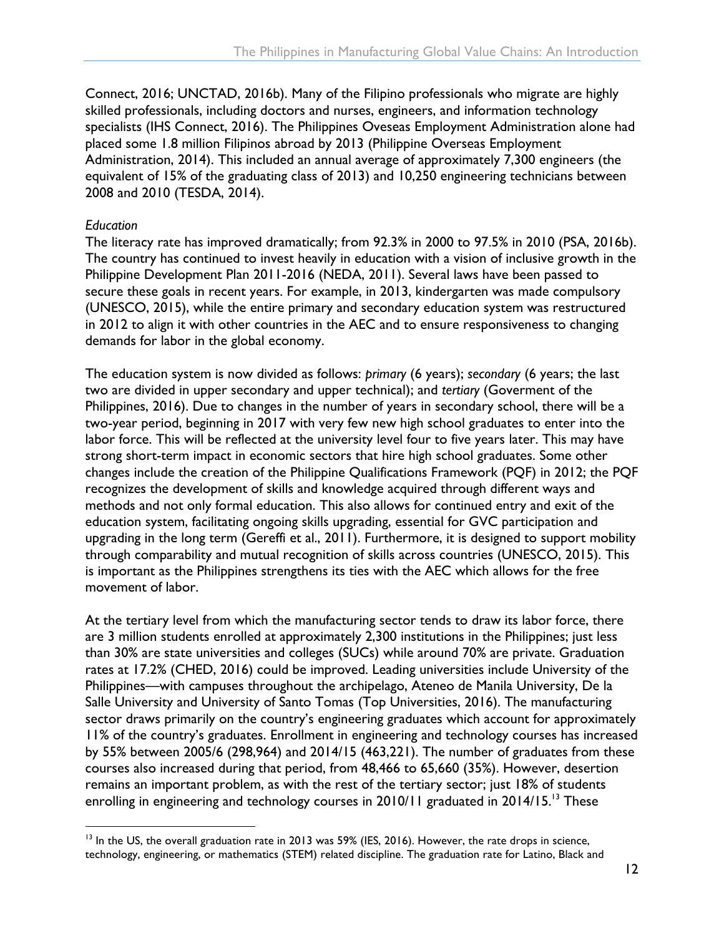Connect, 2016; UNCTAD, 2016b). Many of the Filipino professionals who migrate are highly skilled professionals, including doctors and nurses, engineers, and information technology specialists (IHS Connect, 2016). The Philippines Oveseas Employment Administration alone had placed some 1.8 million Filipinos abroad by 2013 (Philippine Overseas Employment Administration, 2014). This included an annual average of approximately 7,300 engineers (the equivalent of 15% of the graduating class of 2013) and 10,250 engineering technicians between 2008 and 2010 (TESDA, 2014).

#### *Education*

The literacy rate has improved dramatically; from 92.3% in 2000 to 97.5% in 2010 (PSA, 2016b). The country has continued to invest heavily in education with a vision of inclusive growth in the Philippine Development Plan 2011-2016 (NEDA, 2011). Several laws have been passed to secure these goals in recent years. For example, in 2013, kindergarten was made compulsory (UNESCO, 2015), while the entire primary and secondary education system was restructured in 2012 to align it with other countries in the AEC and to ensure responsiveness to changing demands for labor in the global economy.

The education system is now divided as follows: *primary* (6 years); *secondary* (6 years; the last two are divided in upper secondary and upper technical); and *tertiary* (Goverment of the Philippines, 2016). Due to changes in the number of years in secondary school, there will be a two-year period, beginning in 2017 with very few new high school graduates to enter into the labor force. This will be reflected at the university level four to five years later. This may have strong short-term impact in economic sectors that hire high school graduates. Some other changes include the creation of the Philippine Qualifications Framework (PQF) in 2012; the PQF recognizes the development of skills and knowledge acquired through different ways and methods and not only formal education. This also allows for continued entry and exit of the education system, facilitating ongoing skills upgrading, essential for GVC participation and upgrading in the long term (Gereffi et al., 2011). Furthermore, it is designed to support mobility through comparability and mutual recognition of skills across countries (UNESCO, 2015). This is important as the Philippines strengthens its ties with the AEC which allows for the free movement of labor.

At the tertiary level from which the manufacturing sector tends to draw its labor force, there are 3 million students enrolled at approximately 2,300 institutions in the Philippines; just less than 30% are state universities and colleges (SUCs) while around 70% are private. Graduation rates at 17.2% (CHED, 2016) could be improved. Leading universities include University of the Philippines—with campuses throughout the archipelago, Ateneo de Manila University, De la Salle University and University of Santo Tomas (Top Universities, 2016). The manufacturing sector draws primarily on the country's engineering graduates which account for approximately 11% of the country's graduates. Enrollment in engineering and technology courses has increased by 55% between 2005/6 (298,964) and 2014/15 (463,221). The number of graduates from these courses also increased during that period, from 48,466 to 65,660 (35%). However, desertion remains an important problem, as with the rest of the tertiary sector; just 18% of students enrolling in engineering and technology courses in 2010/11 graduated in 2014/15.<sup>13</sup> These

<sup>&</sup>lt;sup>13</sup> In the US, the overall graduation rate in 2013 was 59% (IES, 2016). However, the rate drops in science, technology, engineering, or mathematics (STEM) related discipline. The graduation rate for Latino, Black and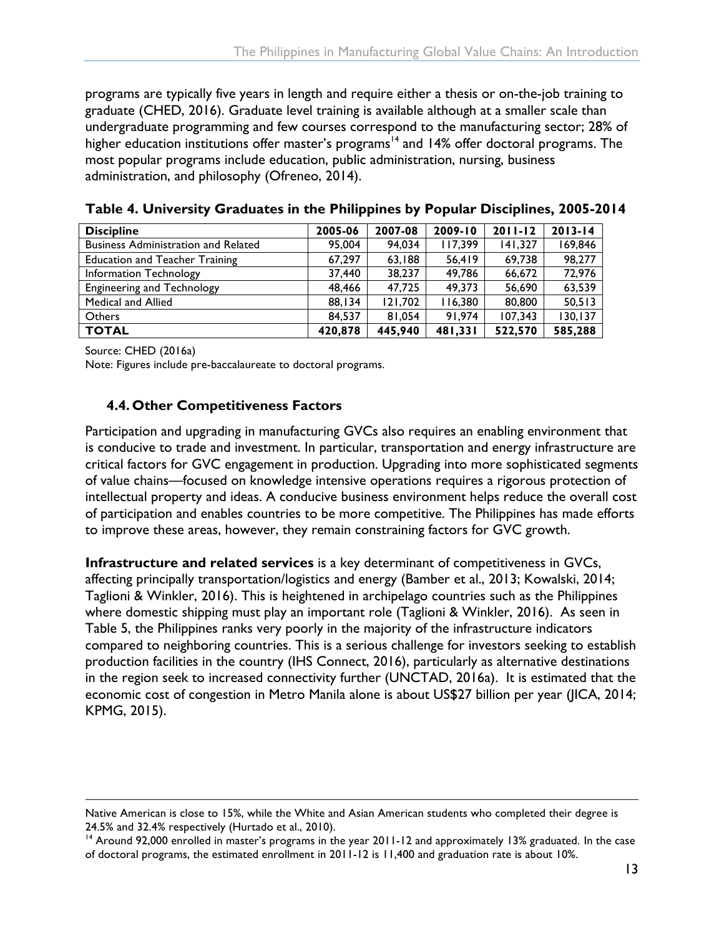programs are typically five years in length and require either a thesis or on-the-job training to graduate (CHED, 2016). Graduate level training is available although at a smaller scale than undergraduate programming and few courses correspond to the manufacturing sector; 28% of higher education institutions offer master's programs<sup>14</sup> and 14% offer doctoral programs. The most popular programs include education, public administration, nursing, business administration, and philosophy (Ofreneo, 2014).

| <b>Discipline</b>                          | 2005-06 | 2007-08 | 2009-10 | $2011 - 12$ | $2013 - 14$ |
|--------------------------------------------|---------|---------|---------|-------------|-------------|
| <b>Business Administration and Related</b> | 95,004  | 94,034  | 117,399 | 141.327     | 169,846     |
| <b>Education and Teacher Training</b>      | 67.297  | 63,188  | 56,419  | 69.738      | 98,277      |
| Information Technology                     | 37,440  | 38,237  | 49.786  | 66,672      | 72,976      |
| <b>Engineering and Technology</b>          | 48.466  | 47.725  | 49.373  | 56,690      | 63,539      |
| Medical and Allied                         | 88,134  | 121,702 | 116,380 | 80,800      | 50,513      |
| <b>Others</b>                              | 84.537  | 81.054  | 91.974  | 107.343     | 130, 137    |
| <b>TOTAL</b>                               | 420,878 | 445,940 | 481,331 | 522,570     | 585,288     |

<span id="page-17-1"></span>**Table 4. University Graduates in the Philippines by Popular Disciplines, 2005-2014**

Source: CHED (2016a)

l

Note: Figures include pre-baccalaureate to doctoral programs.

#### <span id="page-17-0"></span>**4.4. Other Competitiveness Factors**

Participation and upgrading in manufacturing GVCs also requires an enabling environment that is conducive to trade and investment. In particular, transportation and energy infrastructure are critical factors for GVC engagement in production. Upgrading into more sophisticated segments of value chains—focused on knowledge intensive operations requires a rigorous protection of intellectual property and ideas. A conducive business environment helps reduce the overall cost of participation and enables countries to be more competitive. The Philippines has made efforts to improve these areas, however, they remain constraining factors for GVC growth.

**Infrastructure and related services** is a key determinant of competitiveness in GVCs, affecting principally transportation/logistics and energy (Bamber et al., 2013; Kowalski, 2014; Taglioni & Winkler, 2016). This is heightened in archipelago countries such as the Philippines where domestic shipping must play an important role (Taglioni & Winkler, 2016). As seen in Table 5, the Philippines ranks very poorly in the majority of the infrastructure indicators compared to neighboring countries. This is a serious challenge for investors seeking to establish production facilities in the country (IHS Connect, 2016), particularly as alternative destinations in the region seek to increased connectivity further (UNCTAD, 2016a). It is estimated that the economic cost of congestion in Metro Manila alone is about US\$27 billion per year (JICA, 2014; KPMG, 2015).

Native American is close to 15%, while the White and Asian American students who completed their degree is

<sup>24.5%</sup> and 32.4% respectively (Hurtado et al., 2010).<br><sup>14</sup> Around 92,000 enrolled in master's programs in the year 2011-12 and approximately 13% graduated. In the case of doctoral programs, the estimated enrollment in 2011-12 is 11,400 and graduation rate is about 10%.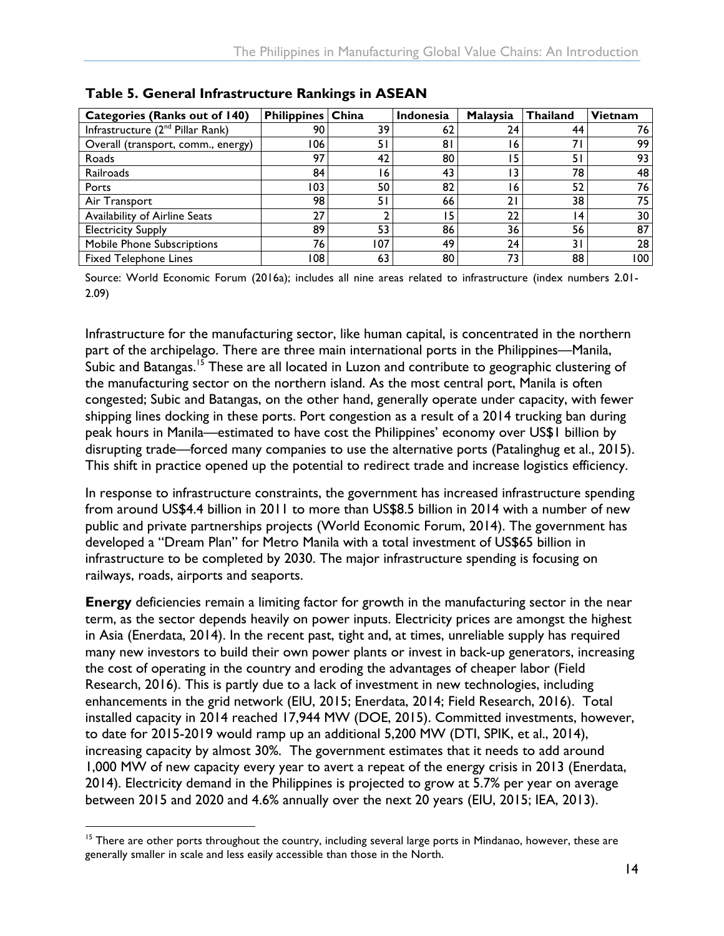| <b>Categories (Ranks out of 140)</b>         | <b>Philippines China</b> |     | <b>Indonesia</b> | Malaysia | <b>Thailand</b> | <b>Vietnam</b> |
|----------------------------------------------|--------------------------|-----|------------------|----------|-----------------|----------------|
| Infrastructure (2 <sup>nd</sup> Pillar Rank) | 90                       | 39. | 62               | 24       | 44              | 76             |
| Overall (transport, comm., energy)           | 106                      | 51  | 81               | 16       | 71              | 99             |
| Roads                                        | 97                       | 42  | 80               | 15       | 51              | 93             |
| Railroads                                    | 84                       | 16  | 43               | 13       | 78              | 48             |
| Ports                                        | 103                      | 50  | 82               | 16       | 52              | 76             |
| Air Transport                                | 98                       | 51  | 66               | 21       | 38              | 75             |
| Availability of Airline Seats                | 27                       |     | 15               | 22       | 4               | 30             |
| <b>Electricity Supply</b>                    | 89                       | 53  | 86               | 36       | 56              | 87             |
| <b>Mobile Phone Subscriptions</b>            | 76                       | 107 | 49               | 24       | 31              | 28             |
| <b>Fixed Telephone Lines</b>                 | 108                      | 63  | 80               | 73       | 88              | 100            |

<span id="page-18-0"></span>**Table 5. General Infrastructure Rankings in ASEAN**

Source: World Economic Forum (2016a); includes all nine areas related to infrastructure (index numbers 2.01- 2.09)

Infrastructure for the manufacturing sector, like human capital, is concentrated in the northern part of the archipelago. There are three main international ports in the Philippines—Manila, Subic and Batangas.<sup>15</sup> These are all located in Luzon and contribute to geographic clustering of the manufacturing sector on the northern island. As the most central port, Manila is often congested; Subic and Batangas, on the other hand, generally operate under capacity, with fewer shipping lines docking in these ports. Port congestion as a result of a 2014 trucking ban during peak hours in Manila—estimated to have cost the Philippines' economy over US\$1 billion by disrupting trade—forced many companies to use the alternative ports (Patalinghug et al., 2015). This shift in practice opened up the potential to redirect trade and increase logistics efficiency.

In response to infrastructure constraints, the government has increased infrastructure spending from around US\$4.4 billion in 2011 to more than US\$8.5 billion in 2014 with a number of new public and private partnerships projects (World Economic Forum, 2014). The government has developed a "Dream Plan" for Metro Manila with a total investment of US\$65 billion in infrastructure to be completed by 2030. The major infrastructure spending is focusing on railways, roads, airports and seaports.

**Energy** deficiencies remain a limiting factor for growth in the manufacturing sector in the near term, as the sector depends heavily on power inputs. Electricity prices are amongst the highest in Asia (Enerdata, 2014). In the recent past, tight and, at times, unreliable supply has required many new investors to build their own power plants or invest in back-up generators, increasing the cost of operating in the country and eroding the advantages of cheaper labor (Field Research, 2016). This is partly due to a lack of investment in new technologies, including enhancements in the grid network (EIU, 2015; Enerdata, 2014; Field Research, 2016). Total installed capacity in 2014 reached 17,944 MW (DOE, 2015). Committed investments, however, to date for 2015-2019 would ramp up an additional 5,200 MW (DTI, SPIK, et al., 2014), increasing capacity by almost 30%. The government estimates that it needs to add around 1,000 MW of new capacity every year to avert a repeat of the energy crisis in 2013 (Enerdata, 2014). Electricity demand in the Philippines is projected to grow at 5.7% per year on average between 2015 and 2020 and 4.6% annually over the next 20 years (EIU, 2015; IEA, 2013).

<sup>&</sup>lt;sup>15</sup> There are other ports throughout the country, including several large ports in Mindanao, however, these are generally smaller in scale and less easily accessible than those in the North.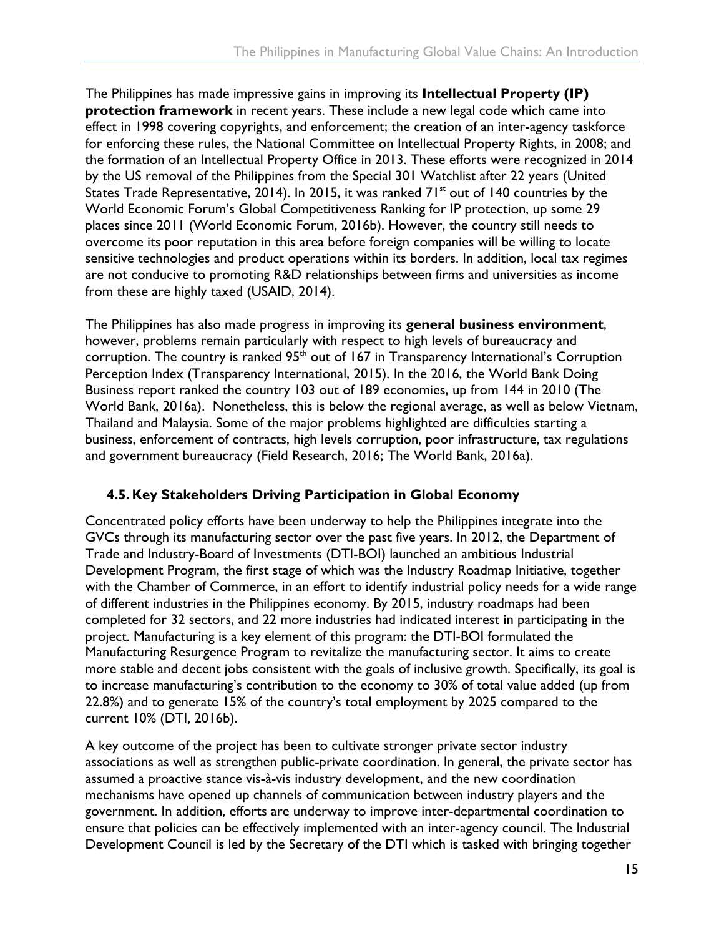The Philippines has made impressive gains in improving its **Intellectual Property (IP) protection framework** in recent years. These include a new legal code which came into effect in 1998 covering copyrights, and enforcement; the creation of an inter-agency taskforce for enforcing these rules, the National Committee on Intellectual Property Rights, in 2008; and the formation of an Intellectual Property Office in 2013. These efforts were recognized in 2014 by the US removal of the Philippines from the Special 301 Watchlist after 22 years (United States Trade Representative, 2014). In 2015, it was ranked  $71<sup>st</sup>$  out of 140 countries by the World Economic Forum's Global Competitiveness Ranking for IP protection, up some 29 places since 2011 (World Economic Forum, 2016b). However, the country still needs to overcome its poor reputation in this area before foreign companies will be willing to locate sensitive technologies and product operations within its borders. In addition, local tax regimes are not conducive to promoting R&D relationships between firms and universities as income from these are highly taxed (USAID, 2014).

The Philippines has also made progress in improving its **general business environment**, however, problems remain particularly with respect to high levels of bureaucracy and corruption. The country is ranked  $95<sup>th</sup>$  out of 167 in Transparency International's Corruption Perception Index (Transparency International, 2015). In the 2016, the World Bank Doing Business report ranked the country 103 out of 189 economies, up from 144 in 2010 (The World Bank, 2016a). Nonetheless, this is below the regional average, as well as below Vietnam, Thailand and Malaysia. Some of the major problems highlighted are difficulties starting a business, enforcement of contracts, high levels corruption, poor infrastructure, tax regulations and government bureaucracy (Field Research, 2016; The World Bank, 2016a).

#### <span id="page-19-0"></span>**4.5. Key Stakeholders Driving Participation in Global Economy**

Concentrated policy efforts have been underway to help the Philippines integrate into the GVCs through its manufacturing sector over the past five years. In 2012, the Department of Trade and Industry-Board of Investments (DTI-BOI) launched an ambitious Industrial Development Program, the first stage of which was the Industry Roadmap Initiative, together with the Chamber of Commerce, in an effort to identify industrial policy needs for a wide range of different industries in the Philippines economy. By 2015, industry roadmaps had been completed for 32 sectors, and 22 more industries had indicated interest in participating in the project. Manufacturing is a key element of this program: the DTI-BOI formulated the Manufacturing Resurgence Program to revitalize the manufacturing sector. It aims to create more stable and decent jobs consistent with the goals of inclusive growth. Specifically, its goal is to increase manufacturing's contribution to the economy to 30% of total value added (up from 22.8%) and to generate 15% of the country's total employment by 2025 compared to the current 10% (DTI, 2016b).

A key outcome of the project has been to cultivate stronger private sector industry associations as well as strengthen public-private coordination. In general, the private sector has assumed a proactive stance vis-à-vis industry development, and the new coordination mechanisms have opened up channels of communication between industry players and the government. In addition, efforts are underway to improve inter-departmental coordination to ensure that policies can be effectively implemented with an inter-agency council. The Industrial Development Council is led by the Secretary of the DTI which is tasked with bringing together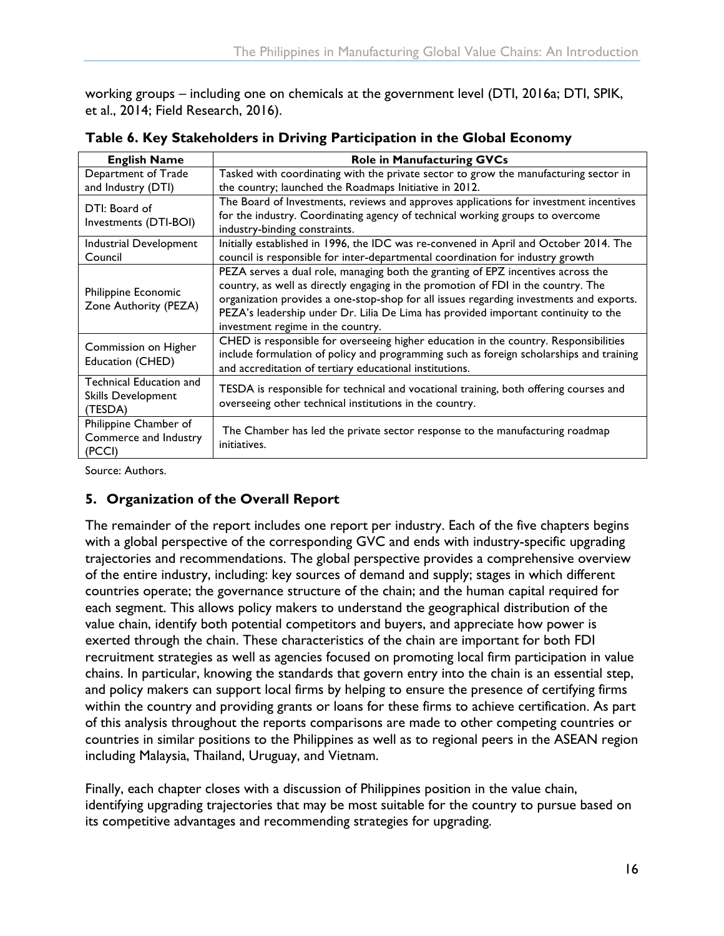working groups – including one on chemicals at the government level (DTI, 2016a; DTI, SPIK, et al., 2014; Field Research, 2016).

| <b>English Name</b>                          | <b>Role in Manufacturing GVCs</b>                                                            |
|----------------------------------------------|----------------------------------------------------------------------------------------------|
| Department of Trade                          | Tasked with coordinating with the private sector to grow the manufacturing sector in         |
| and Industry (DTI)                           | the country; launched the Roadmaps Initiative in 2012.                                       |
| DTI: Board of                                | The Board of Investments, reviews and approves applications for investment incentives        |
| Investments (DTI-BOI)                        | for the industry. Coordinating agency of technical working groups to overcome                |
|                                              | industry-binding constraints.                                                                |
| Industrial Development                       | Initially established in 1996, the IDC was re-convened in April and October 2014. The        |
| Council                                      | council is responsible for inter-departmental coordination for industry growth               |
|                                              | PEZA serves a dual role, managing both the granting of EPZ incentives across the             |
|                                              | country, as well as directly engaging in the promotion of FDI in the country. The            |
| Philippine Economic<br>Zone Authority (PEZA) | organization provides a one-stop-shop for all issues regarding investments and exports.      |
|                                              | PEZA's leadership under Dr. Lilia De Lima has provided important continuity to the           |
|                                              | investment regime in the country.                                                            |
| Commission on Higher                         | CHED is responsible for overseeing higher education in the country. Responsibilities         |
| Education (CHED)                             | include formulation of policy and programming such as foreign scholarships and training      |
|                                              | and accreditation of tertiary educational institutions.                                      |
| Technical Education and                      | TESDA is responsible for technical and vocational training, both offering courses and        |
| Skills Development                           | overseeing other technical institutions in the country.                                      |
| (TESDA)                                      |                                                                                              |
| Philippine Chamber of                        |                                                                                              |
| Commerce and Industry                        | The Chamber has led the private sector response to the manufacturing roadmap<br>initiatives. |
| (PCCI)                                       |                                                                                              |

<span id="page-20-1"></span>**Table 6. Key Stakeholders in Driving Participation in the Global Economy**

Source: Authors.

#### <span id="page-20-0"></span>**5. Organization of the Overall Report**

The remainder of the report includes one report per industry. Each of the five chapters begins with a global perspective of the corresponding GVC and ends with industry-specific upgrading trajectories and recommendations. The global perspective provides a comprehensive overview of the entire industry, including: key sources of demand and supply; stages in which different countries operate; the governance structure of the chain; and the human capital required for each segment. This allows policy makers to understand the geographical distribution of the value chain, identify both potential competitors and buyers, and appreciate how power is exerted through the chain. These characteristics of the chain are important for both FDI recruitment strategies as well as agencies focused on promoting local firm participation in value chains. In particular, knowing the standards that govern entry into the chain is an essential step, and policy makers can support local firms by helping to ensure the presence of certifying firms within the country and providing grants or loans for these firms to achieve certification. As part of this analysis throughout the reports comparisons are made to other competing countries or countries in similar positions to the Philippines as well as to regional peers in the ASEAN region including Malaysia, Thailand, Uruguay, and Vietnam.

Finally, each chapter closes with a discussion of Philippines position in the value chain, identifying upgrading trajectories that may be most suitable for the country to pursue based on its competitive advantages and recommending strategies for upgrading.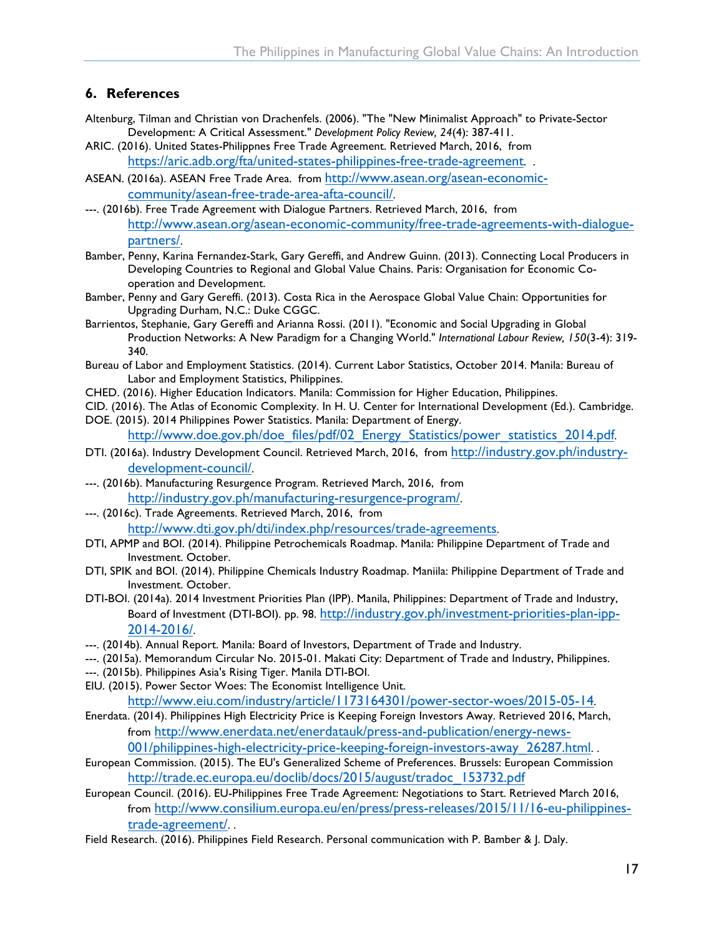#### <span id="page-21-0"></span>**6. References**

- Altenburg, Tilman and Christian von Drachenfels. (2006). "The "New Minimalist Approach" to Private-Sector Development: A Critical Assessment." *Development Policy Review, 24*(4): 387-411.
- ARIC. (2016). United States-Philippnes Free Trade Agreement. Retrieved March, 2016, from <https://aric.adb.org/fta/united-states-philippines-free-trade-agreement>...
- ASEAN. (2016a). ASEAN Free Trade Area. from [http://www.asean.org/asean-economic](http://www.asean.org/asean-economic-community/asean-free-trade-area-afta-council/)[community/asean-free-trade-area-afta-council/](http://www.asean.org/asean-economic-community/asean-free-trade-area-afta-council/).
- ---. (2016b). Free Trade Agreement with Dialogue Partners. Retrieved March, 2016, from [http://www.asean.org/asean-economic-community/free-trade-agreements-with-dialogue](http://www.asean.org/asean-economic-community/free-trade-agreements-with-dialogue-partners/)[partners/](http://www.asean.org/asean-economic-community/free-trade-agreements-with-dialogue-partners/).
- Bamber, Penny, Karina Fernandez-Stark, Gary Gereffi, and Andrew Guinn. (2013). Connecting Local Producers in Developing Countries to Regional and Global Value Chains. Paris: Organisation for Economic Cooperation and Development.
- Bamber, Penny and Gary Gereffi. (2013). Costa Rica in the Aerospace Global Value Chain: Opportunities for Upgrading Durham, N.C.: Duke CGGC.
- Barrientos, Stephanie, Gary Gereffi and Arianna Rossi. (2011). "Economic and Social Upgrading in Global Production Networks: A New Paradigm for a Changing World." *International Labour Review, 150*(3-4): 319- 340.
- Bureau of Labor and Employment Statistics. (2014). Current Labor Statistics, October 2014. Manila: Bureau of Labor and Employment Statistics, Philippines.
- CHED. (2016). Higher Education Indicators. Manila: Commission for Higher Education, Philippines.
- CID. (2016). The Atlas of Economic Complexity. In H. U. Center for International Development (Ed.). Cambridge. DOE. (2015). 2014 Philippines Power Statistics. Manila: Department of Energy.

[http://www.doe.gov.ph/doe\\_files/pdf/02\\_Energy\\_Statistics/power\\_statistics\\_2014.pdf.](http://www.doe.gov.ph/doe_files/pdf/02_Energy_Statistics/power_statistics_2014.pdf)

- DTI. (2016a). Industry Development Council. Retrieved March, 2016, from [http://industry.gov.ph/industry](http://industry.gov.ph/industry-development-council/)[development-council/.](http://industry.gov.ph/industry-development-council/)
- ---. (2016b). Manufacturing Resurgence Program. Retrieved March, 2016, from <http://industry.gov.ph/manufacturing-resurgence-program/>.
- ---. (2016c). Trade Agreements. Retrieved March, 2016, from <http://www.dti.gov.ph/dti/index.php/resources/trade-agreements>.
- DTI, APMP and BOI. (2014). Philippine Petrochemicals Roadmap. Manila: Philippine Department of Trade and Investment. October.
- DTI, SPIK and BOI. (2014). Philippine Chemicals Industry Roadmap. Maniila: Philippine Department of Trade and Investment. October.
- DTI-BOI. (2014a). 2014 Investment Priorities Plan (IPP). Manila, Philippines: Department of Trade and Industry, Board of Investment (DTI-BOI). pp. 98. [http://industry.gov.ph/investment-priorities-plan-ipp-](http://industry.gov.ph/investment-priorities-plan-ipp-2014-2016/)[2014-2016/](http://industry.gov.ph/investment-priorities-plan-ipp-2014-2016/).
- ---. (2014b). Annual Report. Manila: Board of Investors, Department of Trade and Industry.
- ---. (2015a). Memorandum Circular No. 2015-01. Makati City: Department of Trade and Industry, Philippines.
- ---. (2015b). Philippines Asia's Rising Tiger. Manila DTI-BOI.
- EIU. (2015). Power Sector Woes: The Economist Intelligence Unit. <http://www.eiu.com/industry/article/1173164301/power-sector-woes/2015-05-14>.
- Enerdata. (2014). Philippines High Electricity Price is Keeping Foreign Investors Away. Retrieved 2016, March, from [http://www.enerdata.net/enerdatauk/press-and-publication/energy-news](http://www.enerdata.net/enerdatauk/press-and-publication/energy-news-001/philippines-high-electricity-price-keeping-foreign-investors-away_26287.html)-

[001/philippines-high-electricity-price-keeping-foreign-investors-away\\_26287.html.](http://www.enerdata.net/enerdatauk/press-and-publication/energy-news-001/philippines-high-electricity-price-keeping-foreign-investors-away_26287.html) .

- European Commission. (2015). The EU's Generalized Scheme of Preferences. Brussels: European Commission [http://trade.ec.europa.eu/doclib/docs/2015/august/tradoc\\_153732.pdf](http://trade.ec.europa.eu/doclib/docs/2015/august/tradoc_153732.pdf)
- European Council. (2016). EU-Philippines Free Trade Agreement: Negotiations to Start. Retrieved March 2016, from [http://www.consilium.europa.eu/en/press/press-releases/2015/11/16-eu-philippines](http://www.consilium.europa.eu/en/press/press-releases/2015/11/16-eu-philippines-trade-agreement/)[trade-agreement/](http://www.consilium.europa.eu/en/press/press-releases/2015/11/16-eu-philippines-trade-agreement/). .
- Field Research. (2016). Philippines Field Research. Personal communication with P. Bamber & J. Daly.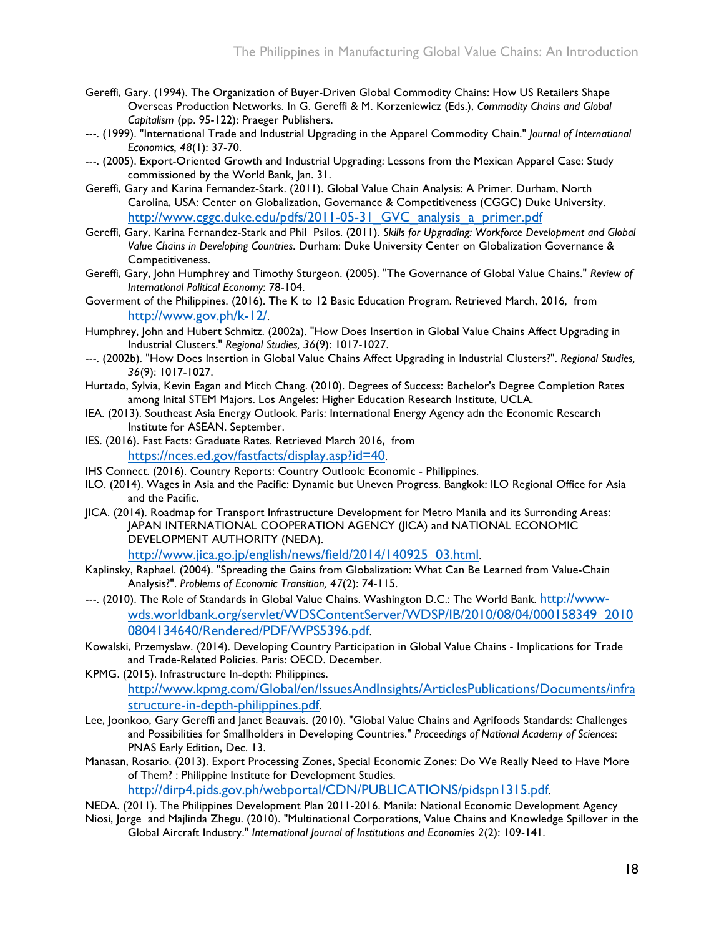- Gereffi, Gary. (1994). The Organization of Buyer-Driven Global Commodity Chains: How US Retailers Shape Overseas Production Networks. In G. Gereffi & M. Korzeniewicz (Eds.), *Commodity Chains and Global Capitalism* (pp. 95-122): Praeger Publishers.
- ---. (1999). "International Trade and Industrial Upgrading in the Apparel Commodity Chain." *Journal of International Economics, 48*(1): 37-70.
- ---. (2005). Export-Oriented Growth and Industrial Upgrading: Lessons from the Mexican Apparel Case: Study commissioned by the World Bank, Jan. 31.
- Gereffi, Gary and Karina Fernandez-Stark. (2011). Global Value Chain Analysis: A Primer. Durham, North Carolina, USA: Center on Globalization, Governance & Competitiveness (CGGC) Duke University. [http://www.cggc.duke.edu/pdfs/2011-05-31\\_GVC\\_analysis\\_a\\_primer.pdf](http://www.cggc.duke.edu/pdfs/2011-05-31_GVC_analysis_a_primer.pdf)
- Gereffi, Gary, Karina Fernandez-Stark and Phil Psilos. (2011). *Skills for Upgrading: Workforce Development and Global Value Chains in Developing Countries*. Durham: Duke University Center on Globalization Governance & Competitiveness.
- Gereffi, Gary, John Humphrey and Timothy Sturgeon. (2005). "The Governance of Global Value Chains." *Review of International Political Economy*: 78-104.
- Goverment of the Philippines. (2016). The K to 12 Basic Education Program. Retrieved March, 2016, from <http://www.gov.ph/k-12/>.
- Humphrey, John and Hubert Schmitz. (2002a). "How Does Insertion in Global Value Chains Affect Upgrading in Industrial Clusters." *Regional Studies, 36*(9): 1017-1027.
- ---. (2002b). "How Does Insertion in Global Value Chains Affect Upgrading in Industrial Clusters?". *Regional Studies, 36*(9): 1017-1027.
- Hurtado, Sylvia, Kevin Eagan and Mitch Chang. (2010). Degrees of Success: Bachelor's Degree Completion Rates among Inital STEM Majors. Los Angeles: Higher Education Research Institute, UCLA.
- IEA. (2013). Southeast Asia Energy Outlook. Paris: International Energy Agency adn the Economic Research Institute for ASEAN. September.
- IES. (2016). Fast Facts: Graduate Rates. Retrieved March 2016, from [https://nces.ed.gov/fastfacts/display.asp?id=40.](https://nces.ed.gov/fastfacts/display.asp?id=40)
- IHS Connect. (2016). Country Reports: Country Outlook: Economic Philippines.
- ILO. (2014). Wages in Asia and the Pacific: Dynamic but Uneven Progress. Bangkok: ILO Regional Office for Asia and the Pacific.
- JICA. (2014). Roadmap for Transport Infrastructure Development for Metro Manila and its Surronding Areas: JAPAN INTERNATIONAL COOPERATION AGENCY (JICA) and NATIONAL ECONOMIC DEVELOPMENT AUTHORITY (NEDA).

[http://www.jica.go.jp/english/news/field/2014/140925\\_03.html](http://www.jica.go.jp/english/news/field/2014/140925_03.html).

- Kaplinsky, Raphael. (2004). "Spreading the Gains from Globalization: What Can Be Learned from Value-Chain Analysis?". *Problems of Economic Transition, 47*(2): 74-115.
- ---. (2010). The Role of Standards in Global Value Chains. Washington D.C.: The World Bank. [http://www](http://www-wds.worldbank.org/servlet/WDSContentServer/WDSP/IB/2010/08/04/000158349_20100804134640/Rendered/PDF/WPS5396.pdf)[wds.worldbank.org/servlet/WDSContentServer/WDSP/IB/2010/08/04/000158349\\_2010](http://www-wds.worldbank.org/servlet/WDSContentServer/WDSP/IB/2010/08/04/000158349_20100804134640/Rendered/PDF/WPS5396.pdf) [0804134640/Rendered/PDF/WPS5396.pdf](http://www-wds.worldbank.org/servlet/WDSContentServer/WDSP/IB/2010/08/04/000158349_20100804134640/Rendered/PDF/WPS5396.pdf).
- Kowalski, Przemyslaw. (2014). Developing Country Participation in Global Value Chains Implications for Trade and Trade-Related Policies. Paris: OECD. December.
- KPMG. (2015). Infrastructure In-depth: Philippines. [http://www.kpmg.com/Global/en/IssuesAndInsights/ArticlesPublications/Documents/infr](http://www.kpmg.com/Global/en/IssuesAndInsights/ArticlesPublications/Documents/infrastructure-in-depth-philippines.pdf)a [structure-in-depth-philippines.pdf](http://www.kpmg.com/Global/en/IssuesAndInsights/ArticlesPublications/Documents/infrastructure-in-depth-philippines.pdf).
- Lee, Joonkoo, Gary Gereffi and Janet Beauvais. (2010). "Global Value Chains and Agrifoods Standards: Challenges and Possibilities for Smallholders in Developing Countries." *Proceedings of National Academy of Sciences*: PNAS Early Edition, Dec. 13.
- Manasan, Rosario. (2013). Export Processing Zones, Special Economic Zones: Do We Really Need to Have More of Them? : Philippine Institute for Development Studies.

[http://dirp4.pids.gov.ph/webportal/CDN/PUBLICATIONS/pidspn1315.pdf.](http://dirp4.pids.gov.ph/webportal/CDN/PUBLICATIONS/pidspn1315.pdf)

NEDA. (2011). The Philippines Development Plan 2011-2016. Manila: National Economic Development Agency

Niosi, Jorge and Majlinda Zhegu. (2010). "Multinational Corporations, Value Chains and Knowledge Spillover in the Global Aircraft Industry." *International Journal of Institutions and Economies 2*(2): 109-141.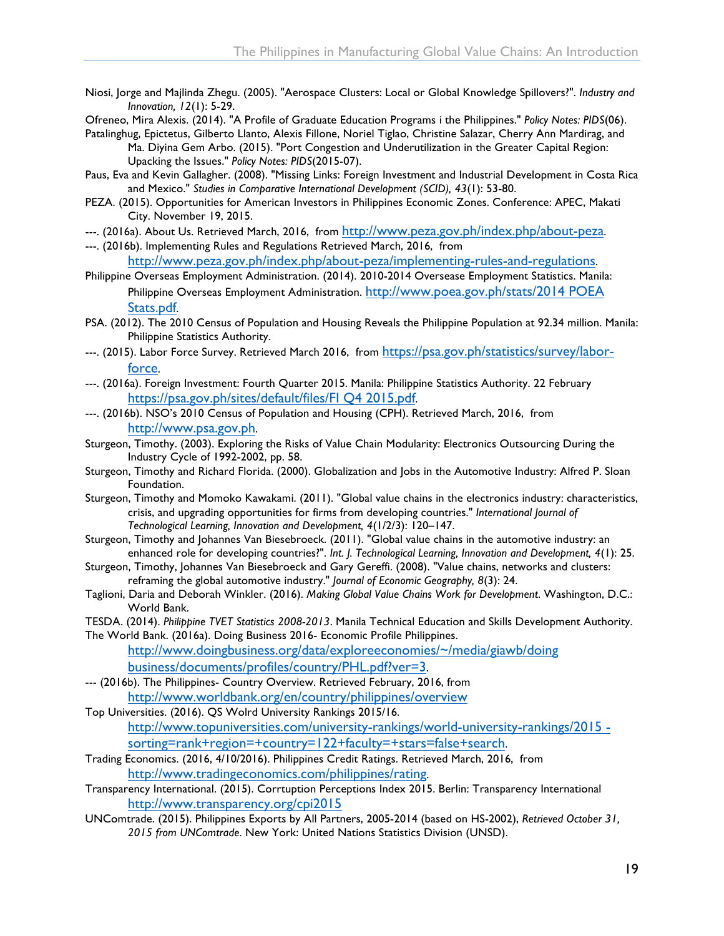- Niosi, Jorge and Majlinda Zhegu. (2005). "Aerospace Clusters: Local or Global Knowledge Spillovers?". *Industry and Innovation, 12*(1): 5-29.
- Ofreneo, Mira Alexis. (2014). "A Profile of Graduate Education Programs i the Philippines." *Policy Notes: PIDS*(06).
- Patalinghug, Epictetus, Gilberto Llanto, Alexis Fillone, Noriel Tiglao, Christine Salazar, Cherry Ann Mardirag, and Ma. Diyina Gem Arbo. (2015). "Port Congestion and Underutilization in the Greater Capital Region: Upacking the Issues." *Policy Notes: PIDS*(2015-07).
- Paus, Eva and Kevin Gallagher. (2008). "Missing Links: Foreign Investment and Industrial Development in Costa Rica and Mexico." *Studies in Comparative International Development (SCID), 43*(1): 53-80.
- PEZA. (2015). Opportunities for American Investors in Philippines Economic Zones. Conference: APEC, Makati City. November 19, 2015.
- ---. (2016a). About Us. Retrieved March, 2016, from [http://www.peza.gov.ph/index.php/about-peza.](http://www.peza.gov.ph/index.php/about-peza)
- ---. (2016b). Implementing Rules and Regulations Retrieved March, 2016, from

[http://www.peza.gov.ph/index.php/about-peza/implementing-rules-and-regulations.](http://www.peza.gov.ph/index.php/about-peza/implementing-rules-and-regulations)

- Philippine Overseas Employment Administration. (2014). 2010-2014 Oversease Employment Statistics. Manila: Philippine Overseas Employment Administration. [http://www.poea.gov.ph/stats/2014 POEA](http://www.poea.gov.ph/stats/2014 POEA Stats.pdf) [Stats.pdf](http://www.poea.gov.ph/stats/2014 POEA Stats.pdf).
- PSA. (2012). The 2010 Census of Population and Housing Reveals the Philippine Population at 92.34 million. Manila: Philippine Statistics Authority.
- ---. (2015). Labor Force Survey. Retrieved March 2016, from [https://psa.gov.ph/statistics/survey/labor](https://psa.gov.ph/statistics/survey/labor-force)[force](https://psa.gov.ph/statistics/survey/labor-force).
- ---. (2016a). Foreign Investment: Fourth Quarter 2015. Manila: Philippine Statistics Authority. 22 February <https://psa.gov.ph/sites/default/files/FI Q4 2015.pdf>.
- ---. (2016b). NSO's 2010 Census of Population and Housing (CPH). Retrieved March, 2016, from <http://www.psa.gov.ph>.
- Sturgeon, Timothy. (2003). Exploring the Risks of Value Chain Modularity: Electronics Outsourcing During the Industry Cycle of 1992-2002, pp. 58.
- Sturgeon, Timothy and Richard Florida. (2000). Globalization and Jobs in the Automotive Industry: Alfred P. Sloan Foundation.
- Sturgeon, Timothy and Momoko Kawakami. (2011). "Global value chains in the electronics industry: characteristics, crisis, and upgrading opportunities for firms from developing countries." *International Journal of Technological Learning, Innovation and Development, 4*(1/2/3): 120–147.
- Sturgeon, Timothy and Johannes Van Biesebroeck. (2011). "Global value chains in the automotive industry: an enhanced role for developing countries?". *Int. J. Technological Learning, Innovation and Development, 4*(1): 25.
- Sturgeon, Timothy, Johannes Van Biesebroeck and Gary Gereffi. (2008). "Value chains, networks and clusters: reframing the global automotive industry." *Journal of Economic Geography, 8*(3): 24.
- Taglioni, Daria and Deborah Winkler. (2016). *Making Global Value Chains Work for Development*. Washington, D.C.: World Bank.
- TESDA. (2014). *Philippine TVET Statistics 2008-2013*. Manila Technical Education and Skills Development Authority. The World Bank. (2016a). Doing Business 2016- Economic Profile Philippines.
	- [http://www.doingbusiness.org/data/exploreeconomies/~/media/giawb/doing](http://www.doingbusiness.org/data/exploreeconomies/~/media/giawb/doing business/documents/profiles/country/PHL.pdf?ver=3) [business/documents/profiles/country/PHL.pdf?ver=3](http://www.doingbusiness.org/data/exploreeconomies/~/media/giawb/doing business/documents/profiles/country/PHL.pdf?ver=3).
- --- (2016b). The Philippines- Country Overview. Retrieved February, 2016, from <http://www.worldbank.org/en/country/philippines/overview>
- Top Universities. (2016). QS Wolrd University Rankings 2015/16. [http://www.topuniversities.com/university-rankings/world-university-rankings/2015](http://www.topuniversities.com/university-rankings/world-university-rankings/2015#sorting=rank+region=+country=122+faculty=+stars=false+search)  [sorting=rank+region=+country=122+faculty=+stars=false+search](http://www.topuniversities.com/university-rankings/world-university-rankings/2015#sorting=rank+region=+country=122+faculty=+stars=false+search).
- Trading Economics. (2016, 4/10/2016). Philippines Credit Ratings. Retrieved March, 2016, from [http://www.tradingeconomics.com/philippines/rating.](http://www.tradingeconomics.com/philippines/rating)

Transparency International. (2015). Corrtuption Perceptions Index 2015. Berlin: Transparency International <http://www.transparency.org/cpi2015>

UNComtrade. (2015). Philippines Exports by All Partners, 2005-2014 (based on HS-2002), *Retrieved October 31, 2015 from UNComtrade*. New York: United Nations Statistics Division (UNSD).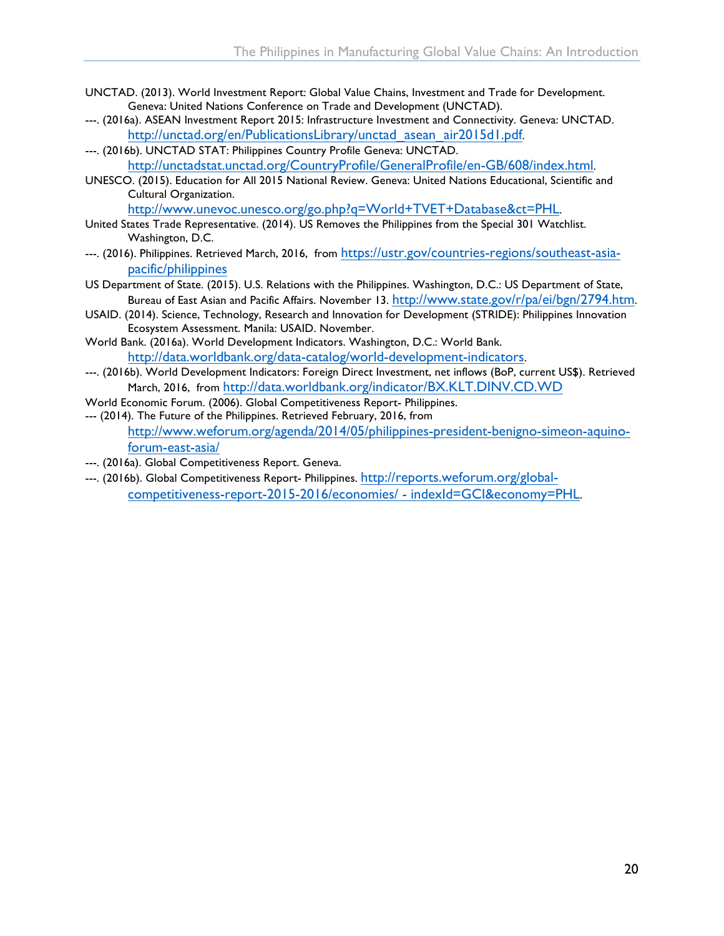- UNCTAD. (2013). World Investment Report: Global Value Chains, Investment and Trade for Development. Geneva: United Nations Conference on Trade and Development (UNCTAD).
- ---. (2016a). ASEAN Investment Report 2015: Infrastructure Investment and Connectivity. Geneva: UNCTAD. [http://unctad.org/en/PublicationsLibrary/unctad\\_asean\\_air2015d1.pdf.](http://unctad.org/en/PublicationsLibrary/unctad_asean_air2015d1.pdf)
- ---. (2016b). UNCTAD STAT: Philippines Country Profile Geneva: UNCTAD. <http://unctadstat.unctad.org/CountryProfile/GeneralProfile/en-GB/608/index.html>.
- UNESCO. (2015). Education for All 2015 National Review. Geneva: United Nations Educational, Scientific and Cultural Organization.

<http://www.unevoc.unesco.org/go.php?q=World+TVET+Database&ct=PHL>.

- United States Trade Representative. (2014). US Removes the Philippines from the Special 301 Watchlist. Washington, D.C.
- ---. (2016). Philippines. Retrieved March, 2016, from [https://ustr.gov/countries-regions/southeast-asia](https://ustr.gov/countries-regions/southeast-asia-pacific/philippines)[pacific/philippines](https://ustr.gov/countries-regions/southeast-asia-pacific/philippines)
- US Department of State. (2015). U.S. Relations with the Philippines. Washington, D.C.: US Department of State, Bureau of East Asian and Pacific Affairs. November 13. [http://www.state.gov/r/pa/ei/bgn/2794.htm.](http://www.state.gov/r/pa/ei/bgn/2794.htm)
- USAID. (2014). Science, Technology, Research and Innovation for Development (STRIDE): Philippines Innovation Ecosystem Assessment. Manila: USAID. November.
- World Bank. (2016a). World Development Indicators. Washington, D.C.: World Bank. <http://data.worldbank.org/data-catalog/world-development-indicators>.
- ---. (2016b). World Development Indicators: Foreign Direct Investment, net inflows (BoP, current US\$). Retrieved March, 2016, from <http://data.worldbank.org/indicator/BX.KLT.DINV.CD.WD>
- World Economic Forum. (2006). Global Competitiveness Report- Philippines.
- --- (2014). The Future of the Philippines. Retrieved February, 2016, from [http://www.weforum.org/agenda/2014/05/philippines-president-benigno-simeon-aquino](http://www.weforum.org/agenda/2014/05/philippines-president-benigno-simeon-aquino-forum-east-asia/)[forum-east-asia/](http://www.weforum.org/agenda/2014/05/philippines-president-benigno-simeon-aquino-forum-east-asia/)
- ---. (2016a). Global Competitiveness Report. Geneva.
- ---. (2016b). Global Competitiveness Report- Philippines. [http://reports.weforum.org/global](http://reports.weforum.org/global-competitiveness-report-2015-2016/economies/#indexId=GCI&economy=PHL)[competitiveness-report-2015-2016/economies/ -](http://reports.weforum.org/global-competitiveness-report-2015-2016/economies/#indexId=GCI&economy=PHL) indexId=GCI&economy=PHL.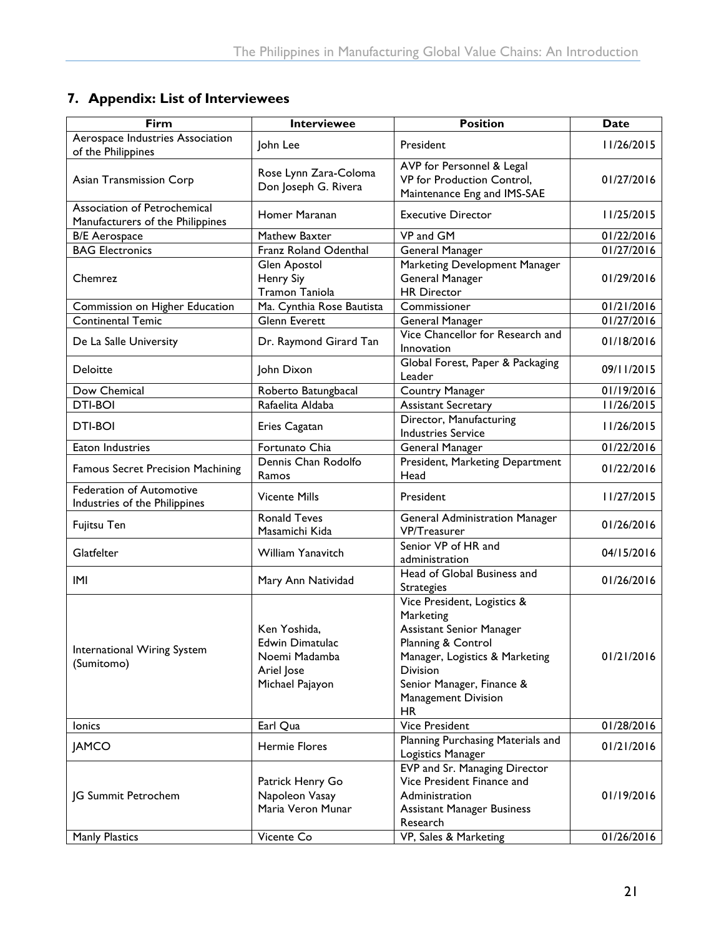#### <span id="page-25-0"></span>**7. Appendix: List of Interviewees**

| Firm                                                             | <b>Interviewee</b>                                                                | <b>Position</b>                                                                                                                                                                                                  | Date       |
|------------------------------------------------------------------|-----------------------------------------------------------------------------------|------------------------------------------------------------------------------------------------------------------------------------------------------------------------------------------------------------------|------------|
| Aerospace Industries Association<br>of the Philippines           | John Lee                                                                          | President                                                                                                                                                                                                        | 11/26/2015 |
| Asian Transmission Corp                                          | Rose Lynn Zara-Coloma<br>Don Joseph G. Rivera                                     | AVP for Personnel & Legal<br>VP for Production Control,<br>Maintenance Eng and IMS-SAE                                                                                                                           | 01/27/2016 |
| Association of Petrochemical<br>Manufacturers of the Philippines | Homer Maranan                                                                     | <b>Executive Director</b>                                                                                                                                                                                        | 11/25/2015 |
| <b>B/E</b> Aerospace                                             | Mathew Baxter                                                                     | VP and GM                                                                                                                                                                                                        | 01/22/2016 |
| <b>BAG Electronics</b>                                           | Franz Roland Odenthal                                                             | General Manager                                                                                                                                                                                                  | 01/27/2016 |
| Chemrez                                                          | Glen Apostol<br>Henry Siy<br><b>Tramon Taniola</b>                                | Marketing Development Manager<br>General Manager<br><b>HR Director</b>                                                                                                                                           | 01/29/2016 |
| Commission on Higher Education                                   | Ma. Cynthia Rose Bautista                                                         | Commissioner                                                                                                                                                                                                     | 01/21/2016 |
| <b>Continental Temic</b>                                         | Glenn Everett                                                                     | General Manager                                                                                                                                                                                                  | 01/27/2016 |
| De La Salle University                                           | Dr. Raymond Girard Tan                                                            | Vice Chancellor for Research and<br>Innovation                                                                                                                                                                   | 01/18/2016 |
| Deloitte                                                         | John Dixon                                                                        | Global Forest, Paper & Packaging<br>Leader                                                                                                                                                                       | 09/11/2015 |
| Dow Chemical                                                     | Roberto Batungbacal                                                               | Country Manager                                                                                                                                                                                                  | 01/19/2016 |
| <b>DTI-BOI</b>                                                   | Rafaelita Aldaba                                                                  | <b>Assistant Secretary</b>                                                                                                                                                                                       | 11/26/2015 |
| DTI-BOI                                                          | Eries Cagatan                                                                     | Director, Manufacturing<br><b>Industries Service</b>                                                                                                                                                             | 11/26/2015 |
| Eaton Industries                                                 | Fortunato Chia                                                                    | General Manager                                                                                                                                                                                                  | 01/22/2016 |
| <b>Famous Secret Precision Machining</b>                         | Dennis Chan Rodolfo<br>Ramos                                                      | President, Marketing Department<br>Head                                                                                                                                                                          | 01/22/2016 |
| <b>Federation of Automotive</b><br>Industries of the Philippines | <b>Vicente Mills</b>                                                              | President                                                                                                                                                                                                        | 11/27/2015 |
| Fujitsu Ten                                                      | <b>Ronald Teves</b><br>Masamichi Kida                                             | <b>General Administration Manager</b><br><b>VP/Treasurer</b>                                                                                                                                                     | 01/26/2016 |
| Glatfelter                                                       | William Yanavitch                                                                 | Senior VP of HR and<br>administration                                                                                                                                                                            | 04/15/2016 |
| IMI                                                              | Mary Ann Natividad                                                                | Head of Global Business and<br><b>Strategies</b>                                                                                                                                                                 | 01/26/2016 |
| International Wiring System<br>(Sumitomo)                        | Ken Yoshida,<br>Edwin Dimatulac<br>Noemi Madamba<br>Ariel Jose<br>Michael Pajayon | Vice President, Logistics &<br>Marketing<br>Assistant Senior Manager<br>Planning & Control<br>Manager, Logistics & Marketing<br><b>Division</b><br>Senior Manager, Finance &<br>Management Division<br><b>HR</b> | 01/21/2016 |
| lonics                                                           | Earl Qua                                                                          | <b>Vice President</b>                                                                                                                                                                                            | 01/28/2016 |
| <b>JAMCO</b>                                                     | <b>Hermie Flores</b>                                                              | Planning Purchasing Materials and<br>Logistics Manager                                                                                                                                                           | 01/21/2016 |
| JG Summit Petrochem                                              | Patrick Henry Go<br>Napoleon Vasay<br>Maria Veron Munar                           | EVP and Sr. Managing Director<br>Vice President Finance and<br>Administration<br><b>Assistant Manager Business</b><br>Research                                                                                   | 01/19/2016 |
| <b>Manly Plastics</b>                                            | Vicente Co                                                                        | VP, Sales & Marketing                                                                                                                                                                                            | 01/26/2016 |